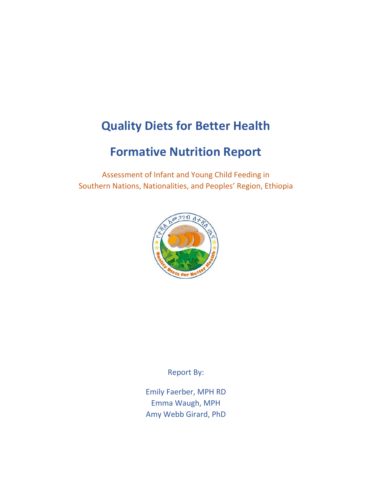# **Quality Diets for Better Health**

# **Formative Nutrition Report**

Assessment of Infant and Young Child Feeding in Southern Nations, Nationalities, and Peoples' Region, Ethiopia



Report By:

Emily Faerber, MPH RD Emma Waugh, MPH Amy Webb Girard, PhD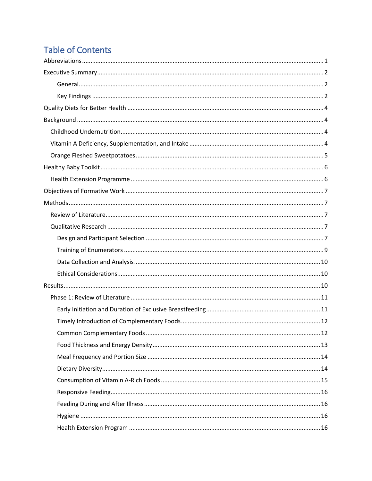# **Table of Contents**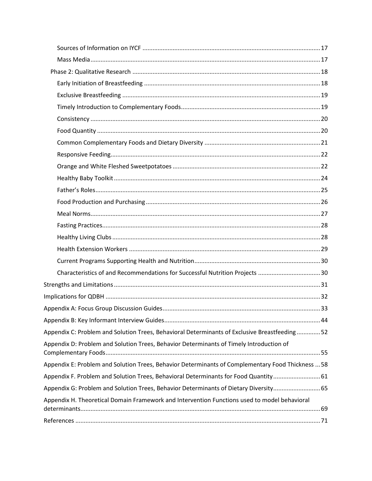| Characteristics of and Recommendations for Successful Nutrition Projects 30                       |  |
|---------------------------------------------------------------------------------------------------|--|
|                                                                                                   |  |
|                                                                                                   |  |
|                                                                                                   |  |
|                                                                                                   |  |
| Appendix C: Problem and Solution Trees, Behavioral Determinants of Exclusive Breastfeeding52      |  |
| Appendix D: Problem and Solution Trees, Behavior Determinants of Timely Introduction of           |  |
| Appendix E: Problem and Solution Trees, Behavior Determinants of Complementary Food Thickness  58 |  |
| Appendix F. Problem and Solution Trees, Behavioral Determinants for Food Quantity 61              |  |
| Appendix G: Problem and Solution Trees, Behavior Determinants of Dietary Diversity65              |  |
| Appendix H. Theoretical Domain Framework and Intervention Functions used to model behavioral      |  |
|                                                                                                   |  |
|                                                                                                   |  |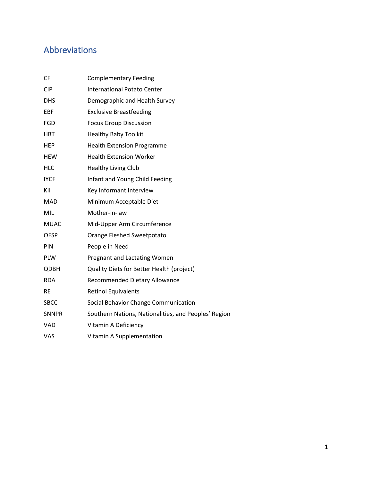# <span id="page-3-0"></span>Abbreviations

| <b>CF</b>    | <b>Complementary Feeding</b>                         |
|--------------|------------------------------------------------------|
| <b>CIP</b>   | <b>International Potato Center</b>                   |
| <b>DHS</b>   | Demographic and Health Survey                        |
| EBF          | <b>Exclusive Breastfeeding</b>                       |
| <b>FGD</b>   | <b>Focus Group Discussion</b>                        |
| <b>HBT</b>   | <b>Healthy Baby Toolkit</b>                          |
| <b>HEP</b>   | <b>Health Extension Programme</b>                    |
| <b>HEW</b>   | <b>Health Extension Worker</b>                       |
| <b>HLC</b>   | <b>Healthy Living Club</b>                           |
| <b>IYCF</b>  | Infant and Young Child Feeding                       |
| KII          | Key Informant Interview                              |
| <b>MAD</b>   | Minimum Acceptable Diet                              |
| <b>MIL</b>   | Mother-in-law                                        |
| <b>MUAC</b>  | Mid-Upper Arm Circumference                          |
| <b>OFSP</b>  | Orange Fleshed Sweetpotato                           |
| PIN          | People in Need                                       |
| PLW          | Pregnant and Lactating Women                         |
| <b>QDBH</b>  | Quality Diets for Better Health (project)            |
| <b>RDA</b>   | Recommended Dietary Allowance                        |
| <b>RE</b>    | <b>Retinol Equivalents</b>                           |
| <b>SBCC</b>  | Social Behavior Change Communication                 |
| <b>SNNPR</b> | Southern Nations, Nationalities, and Peoples' Region |
| <b>VAD</b>   | Vitamin A Deficiency                                 |
| VAS          | Vitamin A Supplementation                            |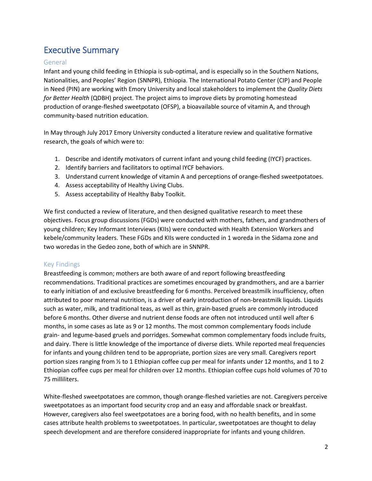# <span id="page-4-0"></span>Executive Summary

#### <span id="page-4-1"></span>General

Infant and young child feeding in Ethiopia is sub-optimal, and is especially so in the Southern Nations, Nationalities, and Peoples' Region (SNNPR), Ethiopia. The International Potato Center (CIP) and People in Need (PIN) are working with Emory University and local stakeholders to implement the *Quality Diets for Better Health* (QDBH) project. The project aims to improve diets by promoting homestead production of orange-fleshed sweetpotato (OFSP), a bioavailable source of vitamin A, and through community-based nutrition education.

In May through July 2017 Emory University conducted a literature review and qualitative formative research, the goals of which were to:

- 1. Describe and identify motivators of current infant and young child feeding (IYCF) practices.
- 2. Identify barriers and facilitators to optimal IYCF behaviors.
- 3. Understand current knowledge of vitamin A and perceptions of orange-fleshed sweetpotatoes.
- 4. Assess acceptability of Healthy Living Clubs.
- 5. Assess acceptability of Healthy Baby Toolkit.

We first conducted a review of literature, and then designed qualitative research to meet these objectives. Focus group discussions (FGDs) were conducted with mothers, fathers, and grandmothers of young children; Key Informant Interviews (KIIs) were conducted with Health Extension Workers and kebele/community leaders. These FGDs and KIIs were conducted in 1 woreda in the Sidama zone and two woredas in the Gedeo zone, both of which are in SNNPR.

#### <span id="page-4-2"></span>Key Findings

Breastfeeding is common; mothers are both aware of and report following breastfeeding recommendations. Traditional practices are sometimes encouraged by grandmothers, and are a barrier to early initiation of and exclusive breastfeeding for 6 months. Perceived breastmilk insufficiency, often attributed to poor maternal nutrition, is a driver of early introduction of non-breastmilk liquids. Liquids such as water, milk, and traditional teas, as well as thin, grain-based gruels are commonly introduced before 6 months. Other diverse and nutrient dense foods are often not introduced until well after 6 months, in some cases as late as 9 or 12 months. The most common complementary foods include grain- and legume-based gruels and porridges. Somewhat common complementary foods include fruits, and dairy. There is little knowledge of the importance of diverse diets. While reported meal frequencies for infants and young children tend to be appropriate, portion sizes are very small. Caregivers report portion sizes ranging from ½ to 1 Ethiopian coffee cup per meal for infants under 12 months, and 1 to 2 Ethiopian coffee cups per meal for children over 12 months. Ethiopian coffee cups hold volumes of 70 to 75 milliliters.

White-fleshed sweetpotatoes are common, though orange-fleshed varieties are not. Caregivers perceive sweetpotatoes as an important food security crop and an easy and affordable snack or breakfast. However, caregivers also feel sweetpotatoes are a boring food, with no health benefits, and in some cases attribute health problems to sweetpotatoes. In particular, sweetpotatoes are thought to delay speech development and are therefore considered inappropriate for infants and young children.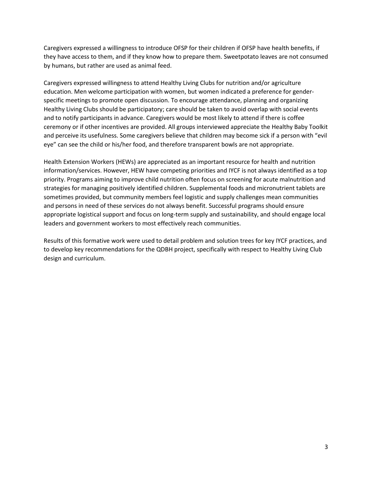Caregivers expressed a willingness to introduce OFSP for their children if OFSP have health benefits, if they have access to them, and if they know how to prepare them. Sweetpotato leaves are not consumed by humans, but rather are used as animal feed.

Caregivers expressed willingness to attend Healthy Living Clubs for nutrition and/or agriculture education. Men welcome participation with women, but women indicated a preference for genderspecific meetings to promote open discussion. To encourage attendance, planning and organizing Healthy Living Clubs should be participatory; care should be taken to avoid overlap with social events and to notify participants in advance. Caregivers would be most likely to attend if there is coffee ceremony or if other incentives are provided. All groups interviewed appreciate the Healthy Baby Toolkit and perceive its usefulness. Some caregivers believe that children may become sick if a person with "evil eye" can see the child or his/her food, and therefore transparent bowls are not appropriate.

Health Extension Workers (HEWs) are appreciated as an important resource for health and nutrition information/services. However, HEW have competing priorities and IYCF is not always identified as a top priority. Programs aiming to improve child nutrition often focus on screening for acute malnutrition and strategies for managing positively identified children. Supplemental foods and micronutrient tablets are sometimes provided, but community members feel logistic and supply challenges mean communities and persons in need of these services do not always benefit. Successful programs should ensure appropriate logistical support and focus on long-term supply and sustainability, and should engage local leaders and government workers to most effectively reach communities.

Results of this formative work were used to detail problem and solution trees for key IYCF practices, and to develop key recommendations for the QDBH project, specifically with respect to Healthy Living Club design and curriculum.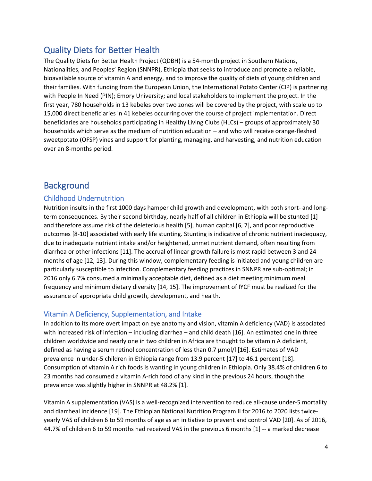# <span id="page-6-0"></span>Quality Diets for Better Health

The Quality Diets for Better Health Project (QDBH) is a 54-month project in Southern Nations, Nationalities, and Peoples' Region (SNNPR), Ethiopia that seeks to introduce and promote a reliable, bioavailable source of vitamin A and energy, and to improve the quality of diets of young children and their families. With funding from the European Union, the International Potato Center (CIP) is partnering with People In Need (PIN); Emory University; and local stakeholders to implement the project. In the first year, 780 households in 13 kebeles over two zones will be covered by the project, with scale up to 15,000 direct beneficiaries in 41 kebeles occurring over the course of project implementation. Direct beneficiaries are households participating in Healthy Living Clubs (HLCs) – groups of approximately 30 households which serve as the medium of nutrition education – and who will receive orange-fleshed sweetpotato (OFSP) vines and support for planting, managing, and harvesting, and nutrition education over an 8-months period.

# <span id="page-6-1"></span>**Background**

# <span id="page-6-2"></span>Childhood Undernutrition

Nutrition insults in the first 1000 days hamper child growth and development, with both short- and longterm consequences. By their second birthday, nearly half of all children in Ethiopia will be stunted [1] and therefore assume risk of the deleterious health [5], human capital [6, 7], and poor reproductive outcomes [8-10] associated with early life stunting. Stunting is indicative of chronic nutrient inadequacy, due to inadequate nutrient intake and/or heightened, unmet nutrient demand, often resulting from diarrhea or other infections [11]. The accrual of linear growth failure is most rapid between 3 and 24 months of age [12, 13]. During this window, complementary feeding is initiated and young children are particularly susceptible to infection. Complementary feeding practices in SNNPR are sub-optimal; in 2016 only 6.7% consumed a minimally acceptable diet, defined as a diet meeting minimum meal frequency and minimum dietary diversity [14, 15]. The improvement of IYCF must be realized for the assurance of appropriate child growth, development, and health.

# <span id="page-6-3"></span>Vitamin A Deficiency, Supplementation, and Intake

In addition to its more overt impact on eye anatomy and vision, vitamin A deficiency (VAD) is associated with increased risk of infection – including diarrhea – and child death [16]. An estimated one in three children worldwide and nearly one in two children in Africa are thought to be vitamin A deficient, defined as having a serum retinol concentration of less than 0.7 µmol/l [16]. Estimates of VAD prevalence in under-5 children in Ethiopia range from 13.9 percent [17] to 46.1 percent [18]. Consumption of vitamin A rich foods is wanting in young children in Ethiopia. Only 38.4% of children 6 to 23 months had consumed a vitamin A-rich food of any kind in the previous 24 hours, though the prevalence was slightly higher in SNNPR at 48.2% [1].

Vitamin A supplementation (VAS) is a well-recognized intervention to reduce all-cause under-5 mortality and diarrheal incidence [19]. The Ethiopian National Nutrition Program II for 2016 to 2020 lists twiceyearly VAS of children 6 to 59 months of age as an initiative to prevent and control VAD [20]. As of 2016, 44.7% of children 6 to 59 months had received VAS in the previous 6 months [1] -- a marked decrease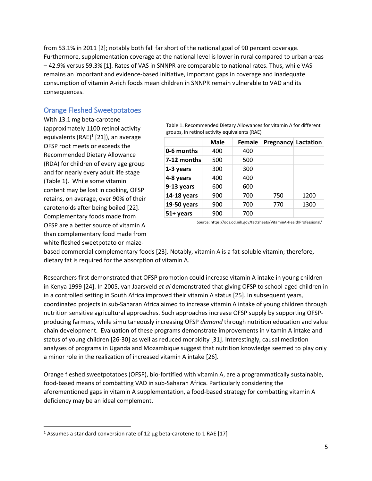from 53.1% in 2011 [2]; notably both fall far short of the national goal of 90 percent coverage. Furthermore, supplementation coverage at the national level is lower in rural compared to urban areas – 42.9% versus 59.3% [1]. Rates of VAS in SNNPR are comparable to national rates. Thus, while VAS remains an important and evidence-based initiative, important gaps in coverage and inadequate consumption of vitamin A-rich foods mean children in SNNPR remain vulnerable to VAD and its consequences.

# <span id="page-7-0"></span>Orange Fleshed Sweetpotatoes

With 13.1 mg beta-carotene (approximately 1100 retinol activity equivalents (RAE)<sup>1</sup> [21]), an average OFSP root meets or exceeds the Recommended Dietary Allowance (RDA) for children of every age group and for nearly every adult life stage [\(Table 1\)](#page-7-1). While some vitamin content may be lost in cooking, OFSP retains, on average, over 90% of their carotenoids after being boiled [22]. Complementary foods made from OFSP are a better source of vitamin A than complementary food made from white fleshed sweetpotato or maize-

<span id="page-7-1"></span>Table 1. Recommended Dietary Allowances for vitamin A for different groups, in retinol activity equivalents (RAE)

|             | <b>Male</b> | Female | <b>Pregnancy Lactation</b> |      |
|-------------|-------------|--------|----------------------------|------|
| 0-6 months  | 400         | 400    |                            |      |
| 7-12 months | 500         | 500    |                            |      |
| 1-3 years   | 300         | 300    |                            |      |
| 4-8 years   | 400         | 400    |                            |      |
| 9-13 years  | 600         | 600    |                            |      |
| 14-18 years | 900         | 700    | 750                        | 1200 |
| 19-50 years | 900         | 700    | 770                        | 1300 |
| 51+ years   | 900         | 700    |                            |      |

Source: https://ods.od.nih.gov/factsheets/VitaminA-HealthProfessional/

based commercial complementary foods [23]. Notably, vitamin A is a fat-soluble vitamin; therefore, dietary fat is required for the absorption of vitamin A.

Researchers first demonstrated that OFSP promotion could increase vitamin A intake in young children in Kenya 1999 [24]. In 2005, van Jaarsveld *et al* demonstrated that giving OFSP to school-aged children in in a controlled setting in South Africa improved their vitamin A status [25]. In subsequent years, coordinated projects in sub-Saharan Africa aimed to increase vitamin A intake of young children through nutrition sensitive agricultural approaches. Such approaches increase OFSP supply by supporting OFSPproducing farmers, while simultaneously increasing OFSP *demand* through nutrition education and value chain development. Evaluation of these programs demonstrate improvements in vitamin A intake and status of young children [26-30] as well as reduced morbidity [31]. Interestingly, causal mediation analyses of programs in Uganda and Mozambique suggest that nutrition knowledge seemed to play only a minor role in the realization of increased vitamin A intake [26].

Orange fleshed sweetpotatoes (OFSP), bio-fortified with vitamin A, are a programmatically sustainable, food-based means of combatting VAD in sub-Saharan Africa. Particularly considering the aforementioned gaps in vitamin A supplementation, a food-based strategy for combatting vitamin A deficiency may be an ideal complement.

 $\overline{\phantom{a}}$ 

 $1$  Assumes a standard conversion rate of 12  $\mu$ g beta-carotene to 1 RAE [17]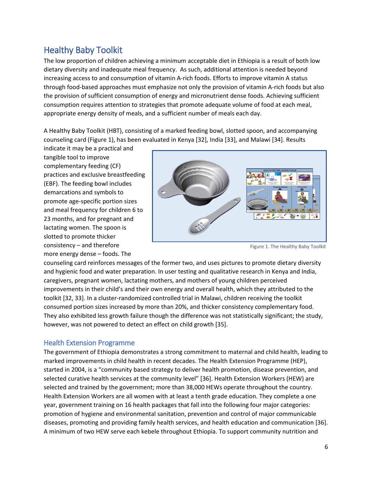# <span id="page-8-0"></span>Healthy Baby Toolkit

The low proportion of children achieving a minimum acceptable diet in Ethiopia is a result of both low dietary diversity and inadequate meal frequency. As such, additional attention is needed beyond increasing access to and consumption of vitamin A-rich foods. Efforts to improve vitamin A status through food-based approaches must emphasize not only the provision of vitamin A-rich foods but also the provision of sufficient consumption of energy and micronutrient dense foods. Achieving sufficient consumption requires attention to strategies that promote adequate volume of food at each meal, appropriate energy density of meals, and a sufficient number of meals each day.

A Healthy Baby Toolkit (HBT), consisting of a marked feeding bowl, slotted spoon, and accompanying counseling card [\(Figure 1\)](#page-8-2), has been evaluated in Kenya [32], India [33], and Malawi [34]. Results

indicate it may be a practical and tangible tool to improve complementary feeding (CF) practices and exclusive breastfeeding (EBF). The feeding bowl includes demarcations and symbols to promote age-specific portion sizes and meal frequency for children 6 to 23 months, and for pregnant and lactating women. The spoon is slotted to promote thicker consistency – and therefore more energy dense – foods. The



Figure 1. The Healthy Baby Toolkit

<span id="page-8-2"></span>counseling card reinforces messages of the former two, and uses pictures to promote dietary diversity and hygienic food and water preparation. In user testing and qualitative research in Kenya and India, caregivers, pregnant women, lactating mothers, and mothers of young children perceived improvements in their child's and their own energy and overall health, which they attributed to the toolkit [32, 33]. In a cluster-randomized controlled trial in Malawi, children receiving the toolkit consumed portion sizes increased by more than 20%, and thicker consistency complementary food. They also exhibited less growth failure though the difference was not statistically significant; the study, however, was not powered to detect an effect on child growth [35].

# <span id="page-8-1"></span>Health Extension Programme

The government of Ethiopia demonstrates a strong commitment to maternal and child health, leading to marked improvements in child health in recent decades. The Health Extension Programme (HEP), started in 2004, is a "community based strategy to deliver health promotion, disease prevention, and selected curative health services at the community level" [36]. Health Extension Workers (HEW) are selected and trained by the government; more than 38,000 HEWs operate throughout the country. Health Extension Workers are all women with at least a tenth grade education. They complete a one year, government training on 16 health packages that fall into the following four major categories: promotion of hygiene and environmental sanitation, prevention and control of major communicable diseases, promoting and providing family health services, and health education and communication [36]. A minimum of two HEW serve each kebele throughout Ethiopia. To support community nutrition and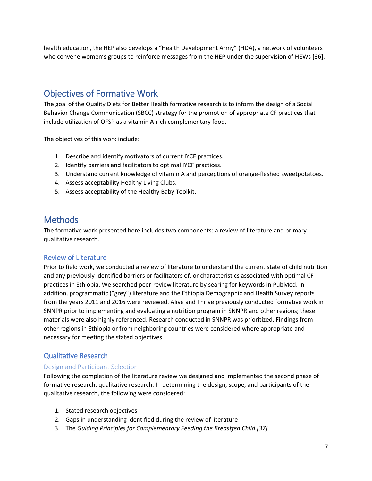health education, the HEP also develops a "Health Development Army" (HDA), a network of volunteers who convene women's groups to reinforce messages from the HEP under the supervision of HEWs [36].

# <span id="page-9-0"></span>Objectives of Formative Work

The goal of the Quality Diets for Better Health formative research is to inform the design of a Social Behavior Change Communication (SBCC) strategy for the promotion of appropriate CF practices that include utilization of OFSP as a vitamin A-rich complementary food.

The objectives of this work include:

- 1. Describe and identify motivators of current IYCF practices.
- 2. Identify barriers and facilitators to optimal IYCF practices.
- 3. Understand current knowledge of vitamin A and perceptions of orange-fleshed sweetpotatoes.
- 4. Assess acceptability Healthy Living Clubs.
- 5. Assess acceptability of the Healthy Baby Toolkit.

# <span id="page-9-1"></span>**Methods**

The formative work presented here includes two components: a review of literature and primary qualitative research.

# <span id="page-9-2"></span>Review of Literature

Prior to field work, we conducted a review of literature to understand the current state of child nutrition and any previously identified barriers or facilitators of, or characteristics associated with optimal CF practices in Ethiopia. We searched peer-review literature by searing for keywords in PubMed. In addition, programmatic ("grey") literature and the Ethiopia Demographic and Health Survey reports from the years 2011 and 2016 were reviewed. Alive and Thrive previously conducted formative work in SNNPR prior to implementing and evaluating a nutrition program in SNNPR and other regions; these materials were also highly referenced. Research conducted in SNNPR was prioritized. Findings from other regions in Ethiopia or from neighboring countries were considered where appropriate and necessary for meeting the stated objectives.

# <span id="page-9-3"></span>Qualitative Research

#### <span id="page-9-4"></span>Design and Participant Selection

Following the completion of the literature review we designed and implemented the second phase of formative research: qualitative research. In determining the design, scope, and participants of the qualitative research, the following were considered:

- 1. Stated research objectives
- 2. Gaps in understanding identified during the review of literature
- 3. The *Guiding Principles for Complementary Feeding the Breastfed Child [37]*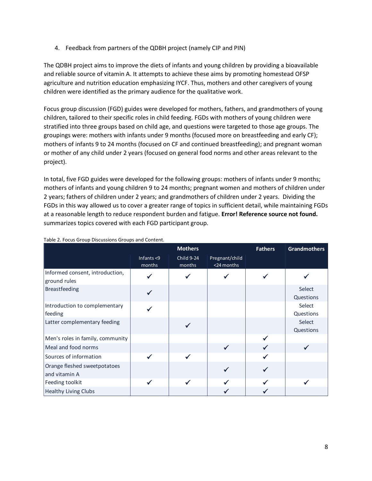4. Feedback from partners of the QDBH project (namely CIP and PIN)

The QDBH project aims to improve the diets of infants and young children by providing a bioavailable and reliable source of vitamin A. It attempts to achieve these aims by promoting homestead OFSP agriculture and nutrition education emphasizing IYCF. Thus, mothers and other caregivers of young children were identified as the primary audience for the qualitative work.

Focus group discussion (FGD) guides were developed for mothers, fathers, and grandmothers of young children, tailored to their specific roles in child feeding. FGDs with mothers of young children were stratified into three groups based on child age, and questions were targeted to those age groups. The groupings were: mothers with infants under 9 months (focused more on breastfeeding and early CF); mothers of infants 9 to 24 months (focused on CF and continued breastfeeding); and pregnant woman or mother of any child under 2 years (focused on general food norms and other areas relevant to the project).

In total, five FGD guides were developed for the following groups: mothers of infants under 9 months; mothers of infants and young children 9 to 24 months; pregnant women and mothers of children under 2 years; fathers of children under 2 years; and grandmothers of children under 2 years. Dividing the FGDs in this way allowed us to cover a greater range of topics in sufficient detail, while maintaining FGDs at a reasonable length to reduce respondent burden and fatigue. **Error! Reference source not found.** summarizes topics covered with each FGD participant group.

|                                                 |                         | <b>Mothers</b>       |                              | <b>Fathers</b> | <b>Grandmothers</b> |
|-------------------------------------------------|-------------------------|----------------------|------------------------------|----------------|---------------------|
|                                                 | Infants $<$ 9<br>months | Child 9-24<br>months | Pregnant/child<br><24 months |                |                     |
| Informed consent, introduction,<br>ground rules |                         |                      |                              |                |                     |
| <b>Breastfeeding</b>                            |                         |                      |                              |                | Select<br>Questions |
| Introduction to complementary<br>feeding        |                         |                      |                              |                | Select<br>Questions |
| Latter complementary feeding                    |                         |                      |                              |                | Select<br>Questions |
| Men's roles in family, community                |                         |                      |                              |                |                     |
| Meal and food norms                             |                         |                      |                              |                |                     |
| Sources of information                          |                         |                      |                              |                |                     |
| Orange fleshed sweetpotatoes<br>and vitamin A   |                         |                      |                              |                |                     |
| Feeding toolkit                                 |                         |                      |                              |                |                     |
| <b>Healthy Living Clubs</b>                     |                         |                      |                              |                |                     |

#### Table 2. Focus Group Discussions Groups and Content.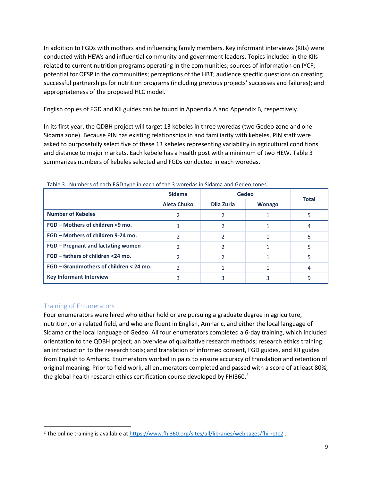In addition to FGDs with mothers and influencing family members, Key informant interviews (KIIs) were conducted with HEWs and influential community and government leaders. Topics included in the KIIs related to current nutrition programs operating in the communities; sources of information on IYCF; potential for OFSP in the communities; perceptions of the HBT; audience specific questions on creating successful partnerships for nutrition programs (including previous projects' successes and failures); and appropriateness of the proposed HLC model.

English copies of FGD and KII guides can be found in [Appendix A](#page-35-0) and [Appendix B,](#page-46-0) respectively.

In its first year, the QDBH project will target 13 kebeles in three woredas (two Gedeo zone and one Sidama zone). Because PIN has existing relationships in and familiarity with kebeles, PIN staff were asked to purposefully select five of these 13 kebeles representing variability in agricultural conditions and distance to major markets. Each kebele has a health post with a minimum of two HEW. [Table 3](#page-11-1) summarizes numbers of kebeles selected and FGDs conducted in each woredas.

|                                           | <b>Sidama</b><br><b>Gedeo</b> |            | <b>Total</b>  |  |
|-------------------------------------------|-------------------------------|------------|---------------|--|
|                                           | <b>Aleta Chuko</b>            | Dila Zuria | <b>Wonago</b> |  |
| <b>Number of Kebeles</b>                  |                               |            |               |  |
| FGD - Mothers of children <9 mo.          |                               |            |               |  |
| FGD - Mothers of children 9-24 mo.        |                               |            |               |  |
| FGD – Pregnant and lactating women        |                               |            |               |  |
| FGD – fathers of children <24 mo.         |                               |            |               |  |
| $FGD - Grandmothers$ of children < 24 mo. |                               |            |               |  |
| <b>Key Informant Interview</b>            |                               |            |               |  |

<span id="page-11-1"></span>Table 3. Numbers of each FGD type in each of the 3 woredas in Sidama and Gedeo zones.

#### <span id="page-11-0"></span>Training of Enumerators

 $\overline{\phantom{a}}$ 

Four enumerators were hired who either hold or are pursuing a graduate degree in agriculture, nutrition, or a related field, and who are fluent in English, Amharic, and either the local language of Sidama or the local language of Gedeo. All four enumerators completed a 6-day training, which included orientation to the QDBH project; an overview of qualitative research methods; research ethics training; an introduction to the research tools; and translation of informed consent, FGD guides, and KII guides from English to Amharic. Enumerators worked in pairs to ensure accuracy of translation and retention of original meaning. Prior to field work, all enumerators completed and passed with a score of at least 80%, the global health research ethics certification course developed by FHI360.<sup>2</sup>

<sup>&</sup>lt;sup>2</sup> The online training is available at<https://www.fhi360.org/sites/all/libraries/webpages/fhi-retc2>.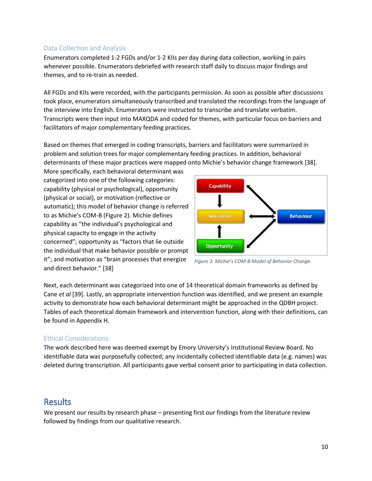### <span id="page-12-0"></span>Data Collection and Analysis

Enumerators completed 1-2 FGDs and/or 1-2 KIIs per day during data collection, working in pairs whenever possible. Enumerators debriefed with research staff daily to discuss major findings and themes, and to re-train as needed.

All FGDs and KIIs were recorded, with the participants permission. As soon as possible after discussions took place, enumerators simultaneously transcribed and translated the recordings from the language of the interview into English. Enumerators were instructed to transcribe and translate verbatim. Transcripts were then input into MAXQDA and coded for themes, with particular focus on barriers and facilitators of major complementary feeding practices.

Based on themes that emerged in coding transcripts, barriers and facilitators were summarized in problem and solution trees for major complementary feeding practices. In addition, behavioral determinants of these major practices were mapped onto Michie's behavior change framework [38].

More specifically, each behavioral determinant was categorized into one of the following categories: capability (physical or psychological), opportunity (physical or social), or motivation (reflective or automatic); this model of behavior change is referred to as Michie's COM-B [\(Figure 2\)](#page-12-3). Michie defines capability as "the individual's psychological and physical capacity to engage in the activity concerned"; opportunity as "factors that lie outside the individual that make behavior possible or prompt it"; and motivation as "brain processes that energize and direct behavior." [38]



<span id="page-12-3"></span>*Figure 2. Michie's COM-B Model of Behavior Change.*

Next, each determinant was categorized into one of 14 theoretical domain frameworks as defined by Cane *et al* [39]. Lastly, an appropriate intervention function was identified, and we present an example activity to demonstrate how each behavioral determinant might be approached in the QDBH project. Tables of each theoretical domain framework and intervention function, along with their definitions, can be found i[n Appendix H.](#page-71-0)

# <span id="page-12-1"></span>Ethical Considerations.

The work described here was deemed exempt by Emory University's Institutional Review Board. No identifiable data was purposefully collected; any incidentally collected identifiable data (e.g. names) was deleted during transcription. All participants gave verbal consent prior to participating in data collection.

# <span id="page-12-2"></span>Results

We present our results by research phase – presenting first our findings from the literature review followed by findings from our qualitative research.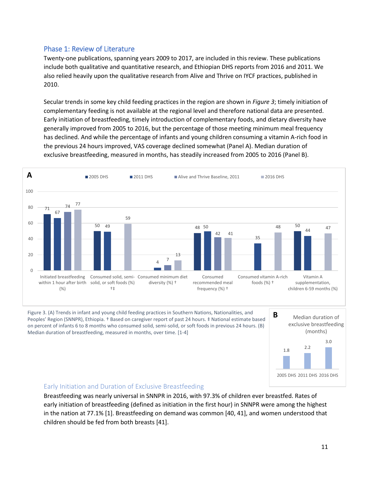# <span id="page-13-0"></span>Phase 1: Review of Literature

Twenty-one publications, spanning years 2009 to 2017, are included in this review. These publications include both qualitative and quantitative research, and Ethiopian DHS reports from 2016 and 2011. We also relied heavily upon the qualitative research from Alive and Thrive on IYCF practices, published in 2010.

Secular trends in some key child feeding practices in the region are shown in *[Figure 3](#page-13-2)*; timely initiation of complementary feeding is not available at the regional level and therefore national data are presented. Early initiation of breastfeeding, timely introduction of complementary foods, and dietary diversity have generally improved from 2005 to 2016, but the percentage of those meeting minimum meal frequency has declined. And while the percentage of infants and young children consuming a vitamin A-rich food in the previous 24 hours improved, VAS coverage declined somewhat (Panel A). Median duration of exclusive breastfeeding, measured in months, has steadily increased from 2005 to 2016 (Panel B).



<span id="page-13-2"></span>Figure 3. (A) Trends in infant and young child feeding practices in Southern Nations, Nationalities, and Peoples' Region (SNNPR), Ethiopia. † Based on caregiver report of past 24 hours. ‡ National estimate based on percent of infants 6 to 8 months who consumed solid, semi-solid, or soft foods in previous 24 hours. (B) Median duration of breastfeeding, measured in months, over time. [1-4]



#### <span id="page-13-1"></span>Early Initiation and Duration of Exclusive Breastfeeding

Breastfeeding was nearly universal in SNNPR in 2016, with 97.3% of children ever breastfed. Rates of early initiation of breastfeeding (defined as initiation in the first hour) in SNNPR were among the highest in the nation at 77.1% [1]. Breastfeeding on demand was common [40, 41], and women understood that children should be fed from both breasts [41].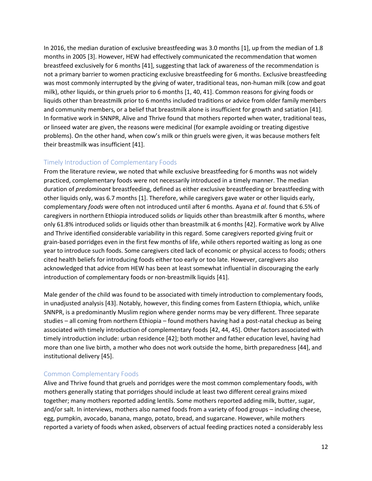In 2016, the median duration of exclusive breastfeeding was 3.0 months [1], up from the median of 1.8 months in 2005 [3]. However, HEW had effectively communicated the recommendation that women breastfeed exclusively for 6 months [41], suggesting that lack of awareness of the recommendation is not a primary barrier to women practicing exclusive breastfeeding for 6 months. Exclusive breastfeeding was most commonly interrupted by the giving of water, traditional teas, non-human milk (cow and goat milk), other liquids, or thin gruels prior to 6 months [1, 40, 41]. Common reasons for giving foods or liquids other than breastmilk prior to 6 months included traditions or advice from older family members and community members, or a belief that breastmilk alone is insufficient for growth and satiation [41]. In formative work in SNNPR, Alive and Thrive found that mothers reported when water, traditional teas, or linseed water are given, the reasons were medicinal (for example avoiding or treating digestive problems). On the other hand, when cow's milk or thin gruels were given, it was because mothers felt their breastmilk was insufficient [41].

#### <span id="page-14-0"></span>Timely Introduction of Complementary Foods

From the literature review, we noted that while exclusive breastfeeding for 6 months was not widely practiced, complementary foods were not necessarily introduced in a timely manner. The median duration of *predominant* breastfeeding, defined as either exclusive breastfeeding or breastfeeding with other liquids only, was 6.7 months [1]. Therefore, while caregivers gave water or other liquids early, complementary *foods* were often not introduced until after 6 months. Ayana *et al*. found that 6.5% of caregivers in northern Ethiopia introduced solids *or* liquids other than breastmilk after 6 months, where only 61.8% introduced solids or liquids other than breastmilk at 6 months [42]. Formative work by Alive and Thrive identified considerable variability in this regard. Some caregivers reported giving fruit or grain-based porridges even in the first few months of life, while others reported waiting as long as one year to introduce such foods. Some caregivers cited lack of economic or physical access to foods; others cited health beliefs for introducing foods either too early or too late. However, caregivers also acknowledged that advice from HEW has been at least somewhat influential in discouraging the early introduction of complementary foods or non-breastmilk liquids [41].

Male gender of the child was found to be associated with timely introduction to complementary foods, in unadjusted analysis [43]. Notably, however, this finding comes from Eastern Ethiopia, which, unlike SNNPR, is a predominantly Muslim region where gender norms may be very different. Three separate studies – all coming from northern Ethiopia – found mothers having had a post-natal checkup as being associated with timely introduction of complementary foods [42, 44, 45]. Other factors associated with timely introduction include: urban residence [42]; both mother and father education level, having had more than one live birth, a mother who does not work outside the home, birth preparedness [44], and institutional delivery [45].

#### <span id="page-14-1"></span>Common Complementary Foods

Alive and Thrive found that gruels and porridges were the most common complementary foods, with mothers generally stating that porridges should include at least two different cereal grains mixed together; many mothers reported adding lentils. Some mothers reported adding milk, butter, sugar, and/or salt. In interviews, mothers also named foods from a variety of food groups – including cheese, egg, pumpkin, avocado, banana, mango, potato, bread, and sugarcane. However, while mothers reported a variety of foods when asked, observers of actual feeding practices noted a considerably less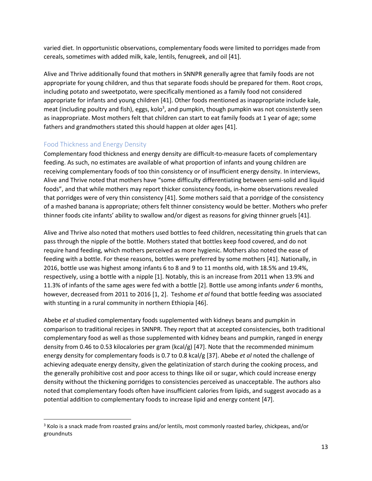varied diet. In opportunistic observations, complementary foods were limited to porridges made from cereals, sometimes with added milk, kale, lentils, fenugreek, and oil [41].

Alive and Thrive additionally found that mothers in SNNPR generally agree that family foods are not appropriate for young children, and thus that separate foods should be prepared for them. Root crops, including potato and sweetpotato, were specifically mentioned as a family food not considered appropriate for infants and young children [41]. Other foods mentioned as inappropriate include kale, meat (including poultry and fish), eggs, kolo<sup>3</sup>, and pumpkin, though pumpkin was not consistently seen as inappropriate. Most mothers felt that children can start to eat family foods at 1 year of age; some fathers and grandmothers stated this should happen at older ages [41].

# <span id="page-15-0"></span>Food Thickness and Energy Density

 $\overline{\phantom{a}}$ 

Complementary food thickness and energy density are difficult-to-measure facets of complementary feeding. As such, no estimates are available of what proportion of infants and young children are receiving complementary foods of too thin consistency or of insufficient energy density. In interviews, Alive and Thrive noted that mothers have "some difficulty differentiating between semi-solid and liquid foods", and that while mothers may report thicker consistency foods, in-home observations revealed that porridges were of very thin consistency [41]. Some mothers said that a porridge of the consistency of a mashed banana is appropriate; others felt thinner consistency would be better. Mothers who prefer thinner foods cite infants' ability to swallow and/or digest as reasons for giving thinner gruels [41].

Alive and Thrive also noted that mothers used bottles to feed children, necessitating thin gruels that can pass through the nipple of the bottle. Mothers stated that bottles keep food covered, and do not require hand feeding, which mothers perceived as more hygienic. Mothers also noted the ease of feeding with a bottle. For these reasons, bottles were preferred by some mothers [41]. Nationally, in 2016, bottle use was highest among infants 6 to 8 and 9 to 11 months old, with 18.5% and 19.4%, respectively, using a bottle with a nipple [1]. Notably, this is an increase from 2011 when 13.9% and 11.3% of infants of the same ages were fed with a bottle [2]. Bottle use among infants *under* 6 months, however, decreased from 2011 to 2016 [1, 2]. Teshome *et al* found that bottle feeding was associated with stunting in a rural community in northern Ethiopia [46].

Abebe *et al* studied complementary foods supplemented with kidneys beans and pumpkin in comparison to traditional recipes in SNNPR. They report that at accepted consistencies, both traditional complementary food as well as those supplemented with kidney beans and pumpkin, ranged in energy density from 0.46 to 0.53 kilocalories per gram (kcal/g) [47]. Note that the recommended minimum energy density for complementary foods is 0.7 to 0.8 kcal/g [37]. Abebe *et al* noted the challenge of achieving adequate energy density, given the gelatinization of starch during the cooking process, and the generally prohibitive cost and poor access to things like oil or sugar, which could increase energy density without the thickening porridges to consistencies perceived as unacceptable. The authors also noted that complementary foods often have insufficient calories from lipids, and suggest avocado as a potential addition to complementary foods to increase lipid and energy content [47].

<sup>3</sup> Kolo is a snack made from roasted grains and/or lentils, most commonly roasted barley, chickpeas, and/or groundnuts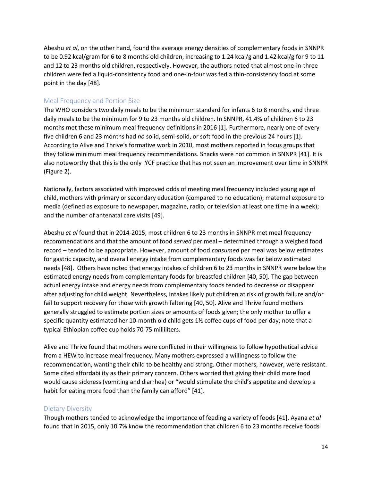Abeshu *et al*, on the other hand, found the average energy densities of complementary foods in SNNPR to be 0.92 kcal/gram for 6 to 8 months old children, increasing to 1.24 kcal/g and 1.42 kcal/g for 9 to 11 and 12 to 23 months old children, respectively. However, the authors noted that almost one-in-three children were fed a liquid-consistency food and one-in-four was fed a thin-consistency food at some point in the day [48].

#### <span id="page-16-0"></span>Meal Frequency and Portion Size

The WHO considers two daily meals to be the minimum standard for infants 6 to 8 months, and three daily meals to be the minimum for 9 to 23 months old children. In SNNPR, 41.4% of children 6 to 23 months met these minimum meal frequency definitions in 2016 [1]. Furthermore, nearly one of every five children 6 and 23 months had *no* solid, semi-solid, or soft food in the previous 24 hours [1]. According to Alive and Thrive's formative work in 2010, most mothers reported in focus groups that they follow minimum meal frequency recommendations. Snacks were not common in SNNPR [41]. It is also noteworthy that this is the only IYCF practice that has not seen an improvement over time in SNNPR (Figure 2).

Nationally, factors associated with improved odds of meeting meal frequency included young age of child, mothers with primary or secondary education (compared to no education); maternal exposure to media (defined as exposure to newspaper, magazine, radio, or television at least one time in a week); and the number of antenatal care visits [49].

Abeshu *et al* found that in 2014-2015, most children 6 to 23 months in SNNPR met meal frequency recommendations and that the amount of food *served* per meal – determined through a weighed food record – tended to be appropriate. However, amount of food *consumed* per meal was below estimates for gastric capacity, and overall energy intake from complementary foods was far below estimated needs [48]. Others have noted that energy intakes of children 6 to 23 months in SNNPR were below the estimated energy needs from complementary foods for breastfed children [40, 50]. The gap between actual energy intake and energy needs from complementary foods tended to decrease or disappear after adjusting for child weight. Nevertheless, intakes likely put children at risk of growth failure and/or fail to support recovery for those with growth faltering [40, 50]. Alive and Thrive found mothers generally struggled to estimate portion sizes or amounts of foods given; the only mother to offer a specific quantity estimated her 10-month old child gets 1½ coffee cups of food per day; note that a typical Ethiopian coffee cup holds 70-75 milliliters.

Alive and Thrive found that mothers were conflicted in their willingness to follow hypothetical advice from a HEW to increase meal frequency. Many mothers expressed a willingness to follow the recommendation, wanting their child to be healthy and strong. Other mothers, however, were resistant. Some cited affordability as their primary concern. Others worried that giving their child more food would cause sickness (vomiting and diarrhea) or "would stimulate the child's appetite and develop a habit for eating more food than the family can afford" [41].

#### <span id="page-16-1"></span>Dietary Diversity

Though mothers tended to acknowledge the importance of feeding a variety of foods [41], Ayana *et al* found that in 2015, only 10.7% know the recommendation that children 6 to 23 months receive foods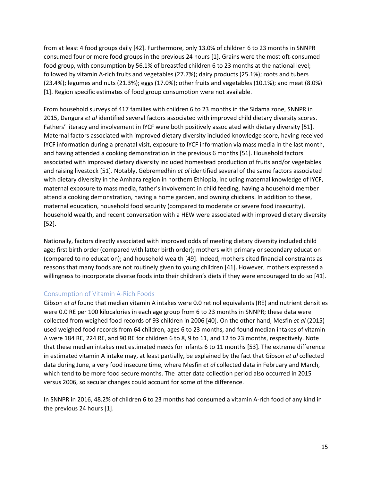from at least 4 food groups daily [42]. Furthermore, only 13.0% of children 6 to 23 months in SNNPR consumed four or more food groups in the previous 24 hours [1]. Grains were the most oft-consumed food group, with consumption by 56.1% of breastfed children 6 to 23 months at the national level; followed by vitamin A-rich fruits and vegetables (27.7%); dairy products (25.1%); roots and tubers (23.4%); legumes and nuts (21.3%); eggs (17.0%); other fruits and vegetables (10.1%); and meat (8.0%) [1]. Region specific estimates of food group consumption were not available.

From household surveys of 417 families with children 6 to 23 months in the Sidama zone, SNNPR in 2015, Dangura *et al* identified several factors associated with improved child dietary diversity scores. Fathers' literacy and involvement in IYCF were both positively associated with dietary diversity [51]. Maternal factors associated with improved dietary diversity included knowledge score, having received IYCF information during a prenatal visit, exposure to IYCF information via mass media in the last month, and having attended a cooking demonstration in the previous 6 months [51]. Household factors associated with improved dietary diversity included homestead production of fruits and/or vegetables and raising livestock [51]. Notably, Gebremedhin *et al* identified several of the same factors associated with dietary diversity in the Amhara region in northern Ethiopia, including maternal knowledge of IYCF, maternal exposure to mass media, father's involvement in child feeding, having a household member attend a cooking demonstration, having a home garden, and owning chickens. In addition to these, maternal education, household food security (compared to moderate or severe food insecurity), household wealth, and recent conversation with a HEW were associated with improved dietary diversity [52].

Nationally, factors directly associated with improved odds of meeting dietary diversity included child age; first birth order (compared with latter birth order); mothers with primary or secondary education (compared to no education); and household wealth [49]. Indeed, mothers cited financial constraints as reasons that many foods are not routinely given to young children [41]. However, mothers expressed a willingness to incorporate diverse foods into their children's diets if they were encouraged to do so [41].

#### <span id="page-17-0"></span>Consumption of Vitamin A-Rich Foods

Gibson *et al* found that median vitamin A intakes were 0.0 retinol equivalents (RE) and nutrient densities were 0.0 RE per 100 kilocalories in each age group from 6 to 23 months in SNNPR; these data were collected from weighed food records of 93 children in 2006 [40]. On the other hand, Mesfin *et al* (2015) used weighed food records from 64 children, ages 6 to 23 months, and found median intakes of vitamin A were 184 RE, 224 RE, and 90 RE for children 6 to 8, 9 to 11, and 12 to 23 months, respectively. Note that these median intakes met estimated needs for infants 6 to 11 months [53]. The extreme difference in estimated vitamin A intake may, at least partially, be explained by the fact that Gibson *et al* collected data during June, a very food insecure time, where Mesfin *et al* collected data in February and March, which tend to be more food secure months. The latter data collection period also occurred in 2015 versus 2006, so secular changes could account for some of the difference.

In SNNPR in 2016, 48.2% of children 6 to 23 months had consumed a vitamin A-rich food of any kind in the previous 24 hours [1].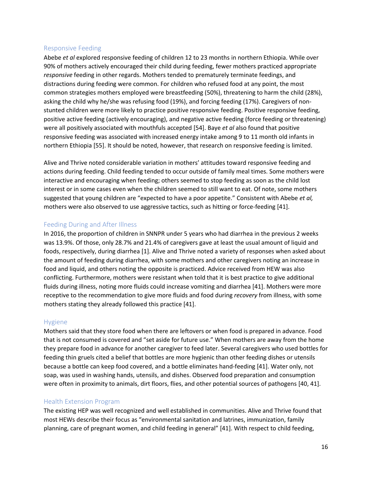#### <span id="page-18-0"></span>Responsive Feeding

Abebe *et al* explored responsive feeding of children 12 to 23 months in northern Ethiopia. While over 90% of mothers actively encouraged their child during feeding, fewer mothers practiced appropriate *responsive* feeding in other regards. Mothers tended to prematurely terminate feedings, and distractions during feeding were common. For children who refused food at any point, the most common strategies mothers employed were breastfeeding (50%), threatening to harm the child (28%), asking the child why he/she was refusing food (19%), and forcing feeding (17%). Caregivers of nonstunted children were more likely to practice positive responsive feeding. Positive responsive feeding, positive active feeding (actively encouraging), and negative active feeding (force feeding or threatening) were all positively associated with mouthfuls accepted [54]. Baye *et al* also found that positive responsive feeding was associated with increased energy intake among 9 to 11 month old infants in northern Ethiopia [55]. It should be noted, however, that research on responsive feeding is limited.

Alive and Thrive noted considerable variation in mothers' attitudes toward responsive feeding and actions during feeding. Child feeding tended to occur outside of family meal times. Some mothers were interactive and encouraging when feeding; others seemed to stop feeding as soon as the child lost interest or in some cases even when the children seemed to still want to eat. Of note, some mothers suggested that young children are "expected to have a poor appetite." Consistent with Abebe *et al,*  mothers were also observed to use aggressive tactics, such as hitting or force-feeding [41].

#### <span id="page-18-1"></span>Feeding During and After Illness

In 2016, the proportion of children in SNNPR under 5 years who had diarrhea in the previous 2 weeks was 13.9%. Of those, only 28.7% and 21.4% of caregivers gave at least the usual amount of liquid and foods, respectively, during diarrhea [1]. Alive and Thrive noted a variety of responses when asked about the amount of feeding during diarrhea, with some mothers and other caregivers noting an increase in food and liquid, and others noting the opposite is practiced. Advice received from HEW was also conflicting. Furthermore, mothers were resistant when told that it is best practice to give additional fluids during illness, noting more fluids could increase vomiting and diarrhea [41]. Mothers were more receptive to the recommendation to give more fluids and food during *recovery* from illness, with some mothers stating they already followed this practice [41].

#### <span id="page-18-2"></span>Hygiene

Mothers said that they store food when there are leftovers or when food is prepared in advance. Food that is not consumed is covered and "set aside for future use." When mothers are away from the home they prepare food in advance for another caregiver to feed later. Several caregivers who used bottles for feeding thin gruels cited a belief that bottles are more hygienic than other feeding dishes or utensils because a bottle can keep food covered, and a bottle eliminates hand-feeding [41]. Water only, not soap, was used in washing hands, utensils, and dishes. Observed food preparation and consumption were often in proximity to animals, dirt floors, flies, and other potential sources of pathogens [40, 41].

#### <span id="page-18-3"></span>Health Extension Program

The existing HEP was well recognized and well established in communities. Alive and Thrive found that most HEWs describe their focus as "environmental sanitation and latrines, immunization, family planning, care of pregnant women, and child feeding in general" [41]. With respect to child feeding,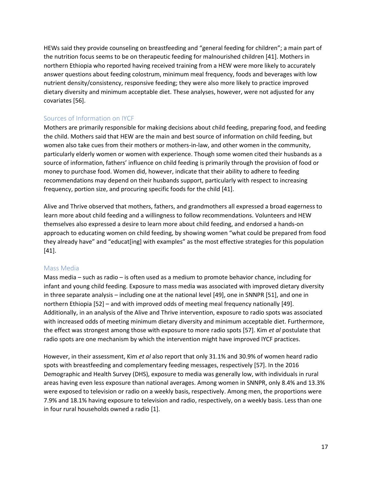HEWs said they provide counseling on breastfeeding and "general feeding for children"; a main part of the nutrition focus seems to be on therapeutic feeding for malnourished children [41]. Mothers in northern Ethiopia who reported having received training from a HEW were more likely to accurately answer questions about feeding colostrum, minimum meal frequency, foods and beverages with low nutrient density/consistency, responsive feeding; they were also more likely to practice improved dietary diversity and minimum acceptable diet. These analyses, however, were not adjusted for any covariates [56].

### <span id="page-19-0"></span>Sources of Information on IYCF

Mothers are primarily responsible for making decisions about child feeding, preparing food, and feeding the child. Mothers said that HEW are the main and best source of information on child feeding, but women also take cues from their mothers or mothers-in-law, and other women in the community, particularly elderly women or women with experience. Though some women cited their husbands as a source of information, fathers' influence on child feeding is primarily through the provision of food or money to purchase food. Women did, however, indicate that their ability to adhere to feeding recommendations may depend on their husbands support, particularly with respect to increasing frequency, portion size, and procuring specific foods for the child [41].

Alive and Thrive observed that mothers, fathers, and grandmothers all expressed a broad eagerness to learn more about child feeding and a willingness to follow recommendations. Volunteers and HEW themselves also expressed a desire to learn more about child feeding, and endorsed a hands-on approach to educating women on child feeding, by showing women "what could be prepared from food they already have" and "educat[ing] with examples" as the most effective strategies for this population [41].

#### <span id="page-19-1"></span>Mass Media

Mass media – such as radio – is often used as a medium to promote behavior chance, including for infant and young child feeding. Exposure to mass media was associated with improved dietary diversity in three separate analysis – including one at the national level [49], one in SNNPR [51], and one in northern Ethiopia [52] – and with improved odds of meeting meal frequency nationally [49]. Additionally, in an analysis of the Alive and Thrive intervention, exposure to radio spots was associated with increased odds of meeting minimum dietary diversity and minimum acceptable diet. Furthermore, the effect was strongest among those with exposure to more radio spots [57]. Kim *et al* postulate that radio spots are one mechanism by which the intervention might have improved IYCF practices.

However, in their assessment, Kim *et al* also report that only 31.1% and 30.9% of women heard radio spots with breastfeeding and complementary feeding messages, respectively [57]. In the 2016 Demographic and Health Survey (DHS), exposure to media was generally low, with individuals in rural areas having even less exposure than national averages. Among women in SNNPR, only 8.4% and 13.3% were exposed to television or radio on a weekly basis, respectively. Among men, the proportions were 7.9% and 18.1% having exposure to television and radio, respectively, on a weekly basis. Less than one in four rural households owned a radio [1].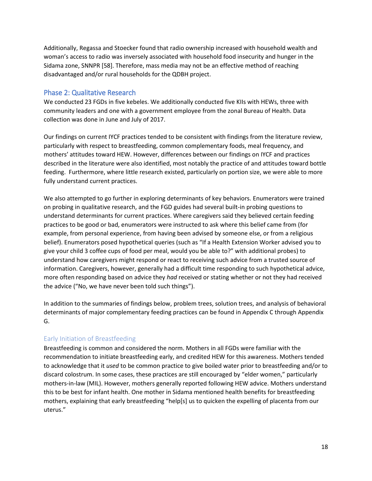Additionally, Regassa and Stoecker found that radio ownership increased with household wealth and woman's access to radio was inversely associated with household food insecurity and hunger in the Sidama zone, SNNPR [58]. Therefore, mass media may not be an effective method of reaching disadvantaged and/or rural households for the QDBH project.

#### <span id="page-20-0"></span>Phase 2: Qualitative Research

We conducted 23 FGDs in five kebeles. We additionally conducted five KIIs with HEWs, three with community leaders and one with a government employee from the zonal Bureau of Health. Data collection was done in June and July of 2017.

Our findings on current IYCF practices tended to be consistent with findings from the literature review, particularly with respect to breastfeeding, common complementary foods, meal frequency, and mothers' attitudes toward HEW. However, differences between our findings on IYCF and practices described in the literature were also identified, most notably the practice of and attitudes toward bottle feeding. Furthermore, where little research existed, particularly on portion size, we were able to more fully understand current practices.

We also attempted to go further in exploring determinants of key behaviors. Enumerators were trained on probing in qualitative research, and the FGD guides had several built-in probing questions to understand determinants for current practices. Where caregivers said they believed certain feeding practices to be good or bad, enumerators were instructed to ask where this belief came from (for example, from personal experience, from having been advised by someone else, or from a religious belief). Enumerators posed hypothetical queries (such as "If a Health Extension Worker advised you to give your child 3 coffee cups of food per meal, would you be able to?" with additional probes) to understand how caregivers might respond or react to receiving such advice from a trusted source of information. Caregivers, however, generally had a difficult time responding to such hypothetical advice, more often responding based on advice they *had* received or stating whether or not they had received the advice ("No, we have never been told such things").

In addition to the summaries of findings below, problem trees, solution trees, and analysis of behavioral determinants of major complementary feeding practices can be found in [Appendix C](#page-54-0) throug[h Appendix](#page-67-0)  [G.](#page-67-0)

# <span id="page-20-1"></span>Early Initiation of Breastfeeding

Breastfeeding is common and considered the norm. Mothers in all FGDs were familiar with the recommendation to initiate breastfeeding early, and credited HEW for this awareness. Mothers tended to acknowledge that it *used* to be common practice to give boiled water prior to breastfeeding and/or to discard colostrum. In some cases, these practices are still encouraged by "elder women," particularly mothers-in-law (MIL). However, mothers generally reported following HEW advice. Mothers understand this to be best for infant health. One mother in Sidama mentioned health benefits for breastfeeding mothers, explaining that early breastfeeding "help[s] us to quicken the expelling of placenta from our uterus."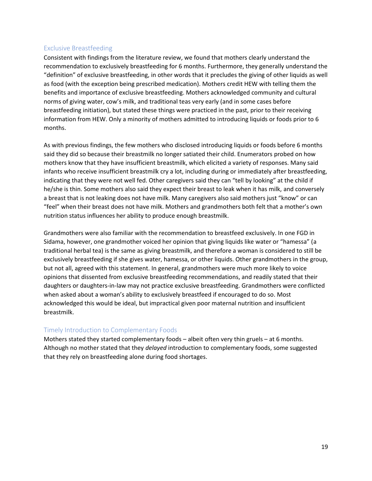#### <span id="page-21-0"></span>Exclusive Breastfeeding

Consistent with findings from the literature review, we found that mothers clearly understand the recommendation to exclusively breastfeeding for 6 months. Furthermore, they generally understand the "definition" of exclusive breastfeeding, in other words that it precludes the giving of other liquids as well as food (with the exception being prescribed medication). Mothers credit HEW with telling them the benefits and importance of exclusive breastfeeding. Mothers acknowledged community and cultural norms of giving water, cow's milk, and traditional teas very early (and in some cases before breastfeeding initiation), but stated these things were practiced in the past, prior to their receiving information from HEW. Only a minority of mothers admitted to introducing liquids or foods prior to 6 months.

As with previous findings, the few mothers who disclosed introducing liquids or foods before 6 months said they did so because their breastmilk no longer satiated their child. Enumerators probed on how mothers know that they have insufficient breastmilk, which elicited a variety of responses. Many said infants who receive insufficient breastmilk cry a lot, including during or immediately after breastfeeding, indicating that they were not well fed. Other caregivers said they can "tell by looking" at the child if he/she is thin. Some mothers also said they expect their breast to leak when it has milk, and conversely a breast that is not leaking does not have milk. Many caregivers also said mothers just "know" or can "feel" when their breast does not have milk. Mothers and grandmothers both felt that a mother's own nutrition status influences her ability to produce enough breastmilk.

Grandmothers were also familiar with the recommendation to breastfeed exclusively. In one FGD in Sidama, however, one grandmother voiced her opinion that giving liquids like water or "hamessa" (a traditional herbal tea) is the same as giving breastmilk, and therefore a woman is considered to still be exclusively breastfeeding if she gives water, hamessa, or other liquids. Other grandmothers in the group, but not all, agreed with this statement. In general, grandmothers were much more likely to voice opinions that dissented from exclusive breastfeeding recommendations, and readily stated that their daughters or daughters-in-law may not practice exclusive breastfeeding. Grandmothers were conflicted when asked about a woman's ability to exclusively breastfeed if encouraged to do so. Most acknowledged this would be ideal, but impractical given poor maternal nutrition and insufficient breastmilk.

# <span id="page-21-1"></span>Timely Introduction to Complementary Foods

Mothers stated they started complementary foods – albeit often very thin gruels – at 6 months. Although no mother stated that they *delayed* introduction to complementary foods, some suggested that they rely on breastfeeding alone during food shortages.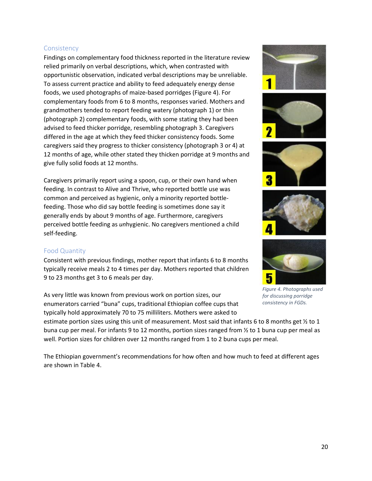#### <span id="page-22-0"></span>**Consistency**

Findings on complementary food thickness reported in the literature review relied primarily on verbal descriptions, which, when contrasted with opportunistic observation, indicated verbal descriptions may be unreliable. To assess current practice and ability to feed adequately energy dense foods, we used photographs of maize-based porridges [\(Figure 4\)](#page-22-2). For complementary foods from 6 to 8 months, responses varied. Mothers and grandmothers tended to report feeding watery (photograph 1) or thin (photograph 2) complementary foods, with some stating they had been advised to feed thicker porridge, resembling photograph 3. Caregivers differed in the age at which they feed thicker consistency foods. Some caregivers said they progress to thicker consistency (photograph 3 or 4) at 12 months of age, while other stated they thicken porridge at 9 months and give fully solid foods at 12 months.

Caregivers primarily report using a spoon, cup, or their own hand when feeding. In contrast to Alive and Thrive, who reported bottle use was common and perceived as hygienic, only a minority reported bottlefeeding. Those who did say bottle feeding is sometimes done say it generally ends by about 9 months of age. Furthermore, caregivers perceived bottle feeding as *un*hygienic. No caregivers mentioned a child self-feeding.

#### <span id="page-22-1"></span>Food Quantity

Consistent with previous findings, mother report that infants 6 to 8 months typically receive meals 2 to 4 times per day. Mothers reported that children 9 to 23 months get 3 to 6 meals per day.

As very little was known from previous work on portion sizes, our enumerators carried "buna" cups, traditional Ethiopian coffee cups that typically hold approximately 70 to 75 milliliters. Mothers were asked to

estimate portion sizes using this unit of measurement. Most said that infants 6 to 8 months get ½ to 1 buna cup per meal. For infants 9 to 12 months, portion sizes ranged from ½ to 1 buna cup per meal as well. Portion sizes for children over 12 months ranged from 1 to 2 buna cups per meal.

The Ethiopian government's recommendations for how often and how much to feed at different ages are shown in [Table 4.](#page-23-1)









<span id="page-22-2"></span>

*Figure 4. Photographs used for discussing porridge consistency in FGDs.*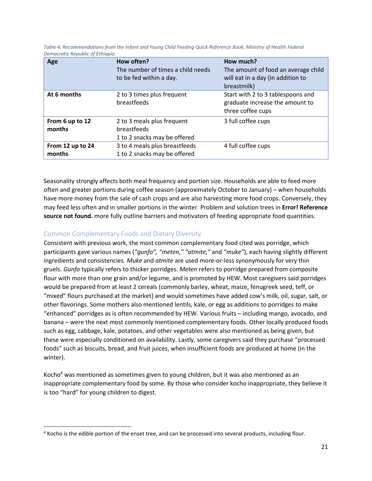| Age                        | How often?<br>The number of times a child needs<br>to be fed within a day. | How much?<br>The amount of food an average child<br>will eat in a day (in addition to<br>breastmilk) |
|----------------------------|----------------------------------------------------------------------------|------------------------------------------------------------------------------------------------------|
| At 6 months                | 2 to 3 times plus frequent<br>breastfeeds                                  | Start with 2 to 3 tablespoons and<br>graduate increase the amount to<br>three coffee cups            |
| From 6 up to 12<br>months  | 2 to 3 meals plus frequent<br>breastfeeds<br>1 to 2 snacks may be offered  | 3 full coffee cups                                                                                   |
| From 12 up to 24<br>months | 3 to 4 meals plus breastfeeds<br>1 to 2 snacks may be offered              | 4 full coffee cups                                                                                   |

<span id="page-23-1"></span>Table 4. Recommendations from the Infant and Young Child Feeding Quick Reference Book, Ministry of Health Federal *Democratic Republic of Ethiopia.*

Seasonality strongly affects both meal frequency and portion size. Households are able to feed more often and greater portions during coffee season (approximately October to January) – when households have more money from the sale of cash crops and are also harvesting more food crops. Conversely, they may feed less often and in smaller portions in the winter. Problem and solution trees in **Error! Reference source not found.** more fully outline barriers and motivators of feeding appropriate food quantities.

# <span id="page-23-0"></span>Common Complementary Foods and Dietary Diversity

 $\overline{\phantom{a}}$ 

Consistent with previous work, the most common complementary food cited was porridge, which participants gave various names (*"gunfo", "meten," "atmite,"* and *"muke"*), each having slightly different ingredients and consistencies. *Muke* and *atmite* are used more-or-less synonymously for very thin gruels. *Gunfo* typically refers to thicker porridges. *Meten* refers to porridge prepared from composite flour with more than one grain and/or legume, and is promoted by HEW. Most caregivers said porridges would be prepared from at least 2 cereals (commonly barley, wheat, maize, fenugreek seed, teff, or "mixed" flours purchased at the market) and would sometimes have added cow's milk, oil, sugar, salt, or other flavorings. Some mothers also mentioned lentils, kale, or egg as additions to porridges to make "enhanced" porridges as is often recommended by HEW. Various fruits – including mango, avocado, and banana – were the next most commonly mentioned complementary foods. Other locally produced foods such as egg, cabbage, kale, potatoes, and other vegetables were also mentioned as being given, but these were especially conditioned on availability. Lastly, some caregivers said they purchase "processed foods" such as biscuits, bread, and fruit juices, when insufficient foods are produced at home (in the winter).

Kocho<sup>4</sup> was mentioned as sometimes given to young children, but it was also mentioned as an inappropriate complementary food by some. By those who consider kocho inappropriate, they believe it is too "hard" for young children to digest.

<sup>4</sup> Kocho is the edible portion of the enset tree, and can be processed into several products, including flour.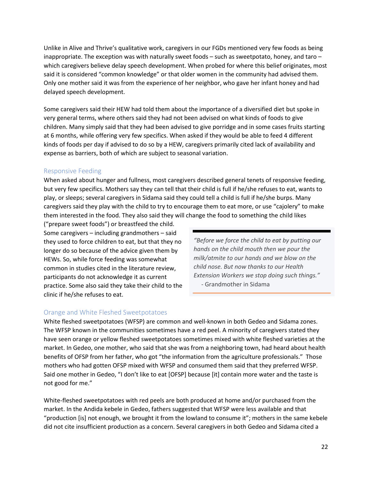Unlike in Alive and Thrive's qualitative work, caregivers in our FGDs mentioned very few foods as being inappropriate. The exception was with naturally sweet foods – such as sweetpotato, honey, and taro – which caregivers believe delay speech development. When probed for where this belief originates, most said it is considered "common knowledge" or that older women in the community had advised them. Only one mother said it was from the experience of her neighbor, who gave her infant honey and had delayed speech development.

Some caregivers said their HEW had told them about the importance of a diversified diet but spoke in very general terms, where others said they had not been advised on what kinds of foods to give children. Many simply said that they had been advised to give porridge and in some cases fruits starting at 6 months, while offering very few specifics. When asked if they would be able to feed 4 different kinds of foods per day if advised to do so by a HEW, caregivers primarily cited lack of availability and expense as barriers, both of which are subject to seasonal variation.

#### <span id="page-24-0"></span>Responsive Feeding

When asked about hunger and fullness, most caregivers described general tenets of responsive feeding, but very few specifics. Mothers say they can tell that their child is full if he/she refuses to eat, wants to play, or sleeps; several caregivers in Sidama said they could tell a child is full if he/she burps. Many caregivers said they play with the child to try to encourage them to eat more, or use "cajolery" to make them interested in the food. They also said they will change the food to something the child likes

("prepare sweet foods") or breastfeed the child. Some caregivers – including grandmothers – said they used to force children to eat, but that they no longer do so because of the advice given them by HEWs. So, while force feeding was somewhat common in studies cited in the literature review, participants do not acknowledge it as current practice. Some also said they take their child to the clinic if he/she refuses to eat.

*"Before we force the child to eat by putting our hands on the child mouth then we pour the milk/atmite to our hands and we blow on the child nose. But now thanks to our Health Extension Workers we stop doing such things."* - Grandmother in Sidama

#### <span id="page-24-1"></span>Orange and White Fleshed Sweetpotatoes

White fleshed sweetpotatoes (WFSP) are common and well-known in both Gedeo and Sidama zones. The WFSP known in the communities sometimes have a red peel. A minority of caregivers stated they have seen orange or yellow fleshed sweetpotatoes sometimes mixed with white fleshed varieties at the market. In Gedeo, one mother, who said that she was from a neighboring town, had heard about health benefits of OFSP from her father, who got "the information from the agriculture professionals." Those mothers who had gotten OFSP mixed with WFSP and consumed them said that they preferred WFSP. Said one mother in Gedeo, "I don't like to eat [OFSP] because [it] contain more water and the taste is not good for me."

White-fleshed sweetpotatoes with red peels are both produced at home and/or purchased from the market. In the Andida kebele in Gedeo, fathers suggested that WFSP were less available and that "production [is] not enough, we brought it from the lowland to consume it"; mothers in the same kebele did not cite insufficient production as a concern. Several caregivers in both Gedeo and Sidama cited a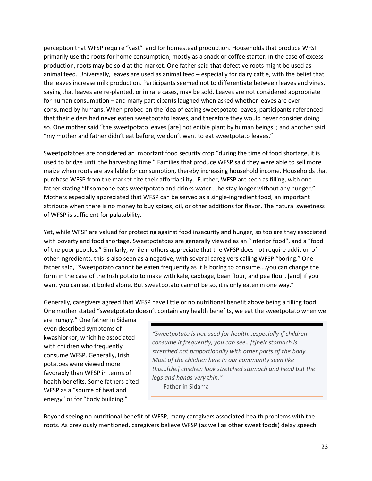perception that WFSP require "vast" land for homestead production. Households that produce WFSP primarily use the roots for home consumption, mostly as a snack or coffee starter. In the case of excess production, roots may be sold at the market. One father said that defective roots might be used as animal feed. Universally, leaves are used as animal feed – especially for dairy cattle, with the belief that the leaves increase milk production. Participants seemed not to differentiate between leaves and vines, saying that leaves are re-planted, or in rare cases, may be sold. Leaves are not considered appropriate for human consumption – and many participants laughed when asked whether leaves are ever consumed by humans. When probed on the idea of eating sweetpotato leaves, participants referenced that their elders had never eaten sweetpotato leaves, and therefore they would never consider doing so. One mother said "the sweetpotato leaves [are] not edible plant by human beings"; and another said "my mother and father didn't eat before, we don't want to eat sweetpotato leaves."

Sweetpotatoes are considered an important food security crop "during the time of food shortage, it is used to bridge until the harvesting time." Families that produce WFSP said they were able to sell more maize when roots are available for consumption, thereby increasing household income. Households that purchase WFSP from the market cite their affordability. Further, WFSP are seen as filling, with one father stating "If someone eats sweetpotato and drinks water....he stay longer without any hunger." Mothers especially appreciated that WFSP can be served as a single-ingredient food, an important attribute when there is no money to buy spices, oil, or other additions for flavor. The natural sweetness of WFSP is sufficient for palatability.

Yet, while WFSP are valued for protecting against food insecurity and hunger, so too are they associated with poverty and food shortage. Sweetpotatoes are generally viewed as an "inferior food", and a "food of the poor peoples." Similarly, while mothers appreciate that the WFSP does not require addition of other ingredients, this is also seen as a negative, with several caregivers calling WFSP "boring." One father said, "Sweetpotato cannot be eaten frequently as it is boring to consume….you can change the form in the case of the Irish potato to make with kale, cabbage, bean flour, and pea flour, [and] if you want you can eat it boiled alone. But sweetpotato cannot be so, it is only eaten in one way."

Generally, caregivers agreed that WFSP have little or no nutritional benefit above being a filling food. One mother stated "sweetpotato doesn't contain any health benefits, we eat the sweetpotato when we

are hungry." One father in Sidama even described symptoms of kwashiorkor, which he associated with children who frequently consume WFSP. Generally, Irish potatoes were viewed more favorably than WFSP in terms of health benefits. Some fathers cited WFSP as a "source of heat and energy" or for "body building."

*"Sweetpotato is not used for health…especially if children consume it frequently, you can see…[t]heir stomach is stretched not proportionally with other parts of the body. Most of the children here in our community seen like this…[the] children look stretched stomach and head but the legs and hands very thin."*

- Father in Sidama

Beyond seeing no nutritional benefit of WFSP, many caregivers associated health problems with the roots. As previously mentioned, caregivers believe WFSP (as well as other sweet foods) delay speech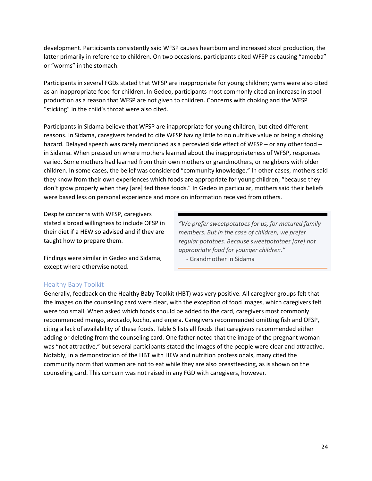development. Participants consistently said WFSP causes heartburn and increased stool production, the latter primarily in reference to children. On two occasions, participants cited WFSP as causing "amoeba" or "worms" in the stomach.

Participants in several FGDs stated that WFSP are inappropriate for young children; yams were also cited as an inappropriate food for children. In Gedeo, participants most commonly cited an increase in stool production as a reason that WFSP are not given to children. Concerns with choking and the WFSP "sticking" in the child's throat were also cited.

Participants in Sidama believe that WFSP are inappropriate for young children, but cited different reasons. In Sidama, caregivers tended to cite WFSP having little to no nutritive value or being a choking hazard. Delayed speech was rarely mentioned as a percevied side effect of WFSP – or any other food – in Sidama. When pressed on where mothers learned about the inappropriateness of WFSP, responses varied. Some mothers had learned from their own mothers or grandmothers, or neighbors with older children. In some cases, the belief was considered "community knowledge." In other cases, mothers said they know from their own experiences which foods are appropriate for young children, "because they don't grow properly when they [are] fed these foods." In Gedeo in particular, mothers said their beliefs were based less on personal experience and more on information received from others.

Despite concerns with WFSP, caregivers stated a broad willingness to include OFSP in their diet if a HEW so advised and if they are taught how to prepare them.

*"We prefer sweetpotatoes for us, for matured family members. But in the case of children, we prefer regular potatoes. Because sweetpotatoes [are] not appropriate food for younger children."* - Grandmother in Sidama

Findings were similar in Gedeo and Sidama, except where otherwise noted.

#### <span id="page-26-0"></span>Healthy Baby Toolkit

Generally, feedback on the Healthy Baby Toolkit (HBT) was very positive. All caregiver groups felt that the images on the counseling card were clear, with the exception of food images, which caregivers felt were too small. When asked which foods should be added to the card, caregivers most commonly recommended mango, avocado, kocho, and enjera. Caregivers recommended omitting fish and OFSP, citing a lack of availability of these foods[. Table 5](#page-27-1) lists all foods that caregivers recommended either adding or deleting from the counseling card. One father noted that the image of the pregnant woman was "not attractive," but several participants stated the images of the people were clear and attractive. Notably, in a demonstration of the HBT with HEW and nutrition professionals, many cited the community norm that women are not to eat while they are also breastfeeding, as is shown on the counseling card. This concern was not raised in any FGD with caregivers, however.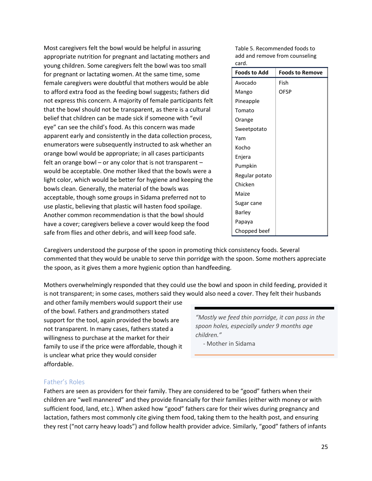Most caregivers felt the bowl would be helpful in assuring appropriate nutrition for pregnant and lactating mothers and young children. Some caregivers felt the bowl was too small for pregnant or lactating women. At the same time, some female caregivers were doubtful that mothers would be able to afford extra food as the feeding bowl suggests; fathers did not express this concern. A majority of female participants felt that the bowl should not be transparent, as there is a cultural belief that children can be made sick if someone with "evil eye" can see the child's food. As this concern was made apparent early and consistently in the data collection process, enumerators were subsequently instructed to ask whether an orange bowl would be appropriate; in all cases participants felt an orange bowl  $-$  or any color that is not transparent  $$ would be acceptable. One mother liked that the bowls were a light color, which would be better for hygiene and keeping the bowls clean. Generally, the material of the bowls was acceptable, though some groups in Sidama preferred not to use plastic, believing that plastic will hasten food spoilage. Another common recommendation is that the bowl should have a cover; caregivers believe a cover would keep the food safe from flies and other debris, and will keep food safe.

<span id="page-27-1"></span>Table 5. Recommended foods to add and remove from counseling card.

| <b>Foods to Add</b> | <b>Foods to Remove</b> |
|---------------------|------------------------|
| Avocado             | Fish                   |
| Mango               | <b>OFSP</b>            |
| Pineapple           |                        |
| Tomato              |                        |
| Orange              |                        |
| Sweetpotato         |                        |
| Yam                 |                        |
| Kocho               |                        |
| Enjera              |                        |
| Pumpkin             |                        |
| Regular potato      |                        |
| Chicken             |                        |
| Maize               |                        |
| Sugar cane          |                        |
| Barley              |                        |
| Papaya              |                        |
| Chopped beef        |                        |

Caregivers understood the purpose of the spoon in promoting thick consistency foods. Several commented that they would be unable to serve thin porridge with the spoon. Some mothers appreciate the spoon, as it gives them a more hygienic option than handfeeding.

Mothers overwhelmingly responded that they could use the bowl and spoon in child feeding, provided it is not transparent; in some cases, mothers said they would also need a cover. They felt their husbands

and other family members would support their use of the bowl. Fathers and grandmothers stated support for the tool, again provided the bowls are not transparent. In many cases, fathers stated a willingness to purchase at the market for their family to use if the price were affordable, though it is unclear what price they would consider affordable.

*"Mostly we feed thin porridge, it can pass in the spoon holes, especially under 9 months age children."*

- Mother in Sidama

#### <span id="page-27-0"></span>Father's Roles

Fathers are seen as providers for their family. They are considered to be "good" fathers when their children are "well mannered" and they provide financially for their families (either with money or with sufficient food, land, etc.). When asked how "good" fathers care for their wives during pregnancy and lactation, fathers most commonly cite giving them food, taking them to the health post, and ensuring they rest ("not carry heavy loads") and follow health provider advice. Similarly, "good" fathers of infants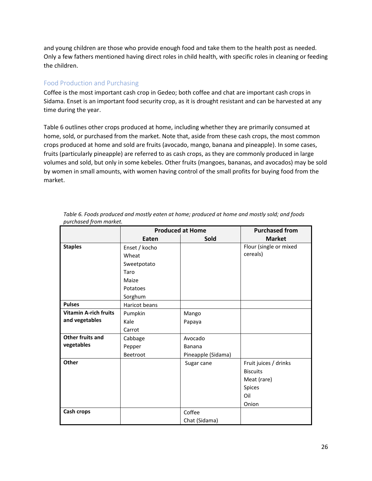and young children are those who provide enough food and take them to the health post as needed. Only a few fathers mentioned having direct roles in child health, with specific roles in cleaning or feeding the children.

### <span id="page-28-0"></span>Food Production and Purchasing

Coffee is the most important cash crop in Gedeo; both coffee and chat are important cash crops in Sidama. Enset is an important food security crop, as it is drought resistant and can be harvested at any time during the year.

[Table 6](#page-28-1) outlines other crops produced at home, including whether they are primarily consumed at home, sold, or purchased from the market. Note that, aside from these cash crops, the most common crops produced at home and sold are fruits (avocado, mango, banana and pineapple). In some cases, fruits (particularly pineapple) are referred to as cash crops, as they are commonly produced in large volumes and sold, but only in some kebeles. Other fruits (mangoes, bananas, and avocados) may be sold by women in small amounts, with women having control of the small profits for buying food from the market.

|                              | <b>Produced at Home</b> |                    | <b>Purchased from</b>  |
|------------------------------|-------------------------|--------------------|------------------------|
|                              | Eaten                   | Sold               | <b>Market</b>          |
| <b>Staples</b>               | Enset / kocho           |                    | Flour (single or mixed |
|                              | Wheat                   |                    | cereals)               |
|                              | Sweetpotato             |                    |                        |
|                              | Taro                    |                    |                        |
|                              | Maize                   |                    |                        |
|                              | Potatoes                |                    |                        |
|                              | Sorghum                 |                    |                        |
| <b>Pulses</b>                | Haricot beans           |                    |                        |
| <b>Vitamin A-rich fruits</b> | Pumpkin                 | Mango              |                        |
| and vegetables               | Kale                    | Papaya             |                        |
|                              | Carrot                  |                    |                        |
| Other fruits and             | Cabbage                 | Avocado            |                        |
| vegetables                   | Pepper                  | <b>Banana</b>      |                        |
|                              | Beetroot                | Pineapple (Sidama) |                        |
| Other                        |                         | Sugar cane         | Fruit juices / drinks  |
|                              |                         |                    | <b>Biscuits</b>        |
|                              |                         |                    | Meat (rare)            |
|                              |                         |                    | Spices                 |
|                              |                         |                    | Oil                    |
|                              |                         |                    | Onion                  |
| Cash crops                   |                         | Coffee             |                        |
|                              |                         | Chat (Sidama)      |                        |

<span id="page-28-1"></span>

| Table 6. Foods produced and mostly eaten at home; produced at home and mostly sold; and foods |
|-----------------------------------------------------------------------------------------------|
| purchased from market.                                                                        |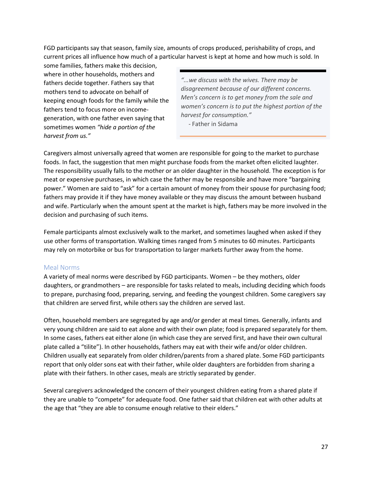FGD participants say that season, family size, amounts of crops produced, perishability of crops, and current prices all influence how much of a particular harvest is kept at home and how much is sold. In

some families, fathers make this decision, where in other households, mothers and fathers decide together. Fathers say that mothers tend to advocate on behalf of keeping enough foods for the family while the fathers tend to focus more on incomegeneration, with one father even saying that sometimes women *"hide a portion of the harvest from us."*

*"...we discuss with the wives. There may be disagreement because of our different concerns. Men's concern is to get money from the sale and women's concern is to put the highest portion of the harvest for consumption."*

- Father in Sidama

Caregivers almost universally agreed that women are responsible for going to the market to purchase foods. In fact, the suggestion that men might purchase foods from the market often elicited laughter. The responsibility usually falls to the mother or an older daughter in the household. The exception is for meat or expensive purchases, in which case the father may be responsible and have more "bargaining power." Women are said to "ask" for a certain amount of money from their spouse for purchasing food; fathers may provide it if they have money available or they may discuss the amount between husband and wife. Particularly when the amount spent at the market is high, fathers may be more involved in the decision and purchasing of such items.

Female participants almost exclusively walk to the market, and sometimes laughed when asked if they use other forms of transportation. Walking times ranged from 5 minutes to 60 minutes. Participants may rely on motorbike or bus for transportation to larger markets further away from the home.

#### <span id="page-29-0"></span>Meal Norms

A variety of meal norms were described by FGD participants. Women – be they mothers, older daughters, or grandmothers – are responsible for tasks related to meals, including deciding which foods to prepare, purchasing food, preparing, serving, and feeding the youngest children. Some caregivers say that children are served first, while others say the children are served last.

Often, household members are segregated by age and/or gender at meal times. Generally, infants and very young children are said to eat alone and with their own plate; food is prepared separately for them. In some cases, fathers eat either alone (in which case they are served first, and have their own cultural plate called a "tilite"). In other households, fathers may eat with their wife and/or older children. Children usually eat separately from older children/parents from a shared plate. Some FGD participants report that only older sons eat with their father, while older daughters are forbidden from sharing a plate with their fathers. In other cases, meals are strictly separated by gender.

Several caregivers acknowledged the concern of their youngest children eating from a shared plate if they are unable to "compete" for adequate food. One father said that children eat with other adults at the age that "they are able to consume enough relative to their elders."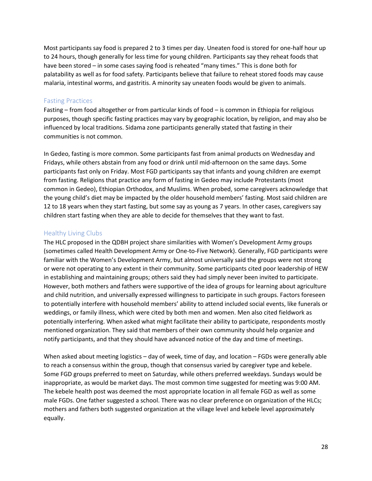Most participants say food is prepared 2 to 3 times per day. Uneaten food is stored for one-half hour up to 24 hours, though generally for less time for young children. Participants say they reheat foods that have been stored – in some cases saying food is reheated "many times." This is done both for palatability as well as for food safety. Participants believe that failure to reheat stored foods may cause malaria, intestinal worms, and gastritis. A minority say uneaten foods would be given to animals.

#### <span id="page-30-0"></span>Fasting Practices

Fasting – from food altogether or from particular kinds of food – is common in Ethiopia for religious purposes, though specific fasting practices may vary by geographic location, by religion, and may also be influenced by local traditions. Sidama zone participants generally stated that fasting in their communities is not common.

In Gedeo, fasting is more common. Some participants fast from animal products on Wednesday and Fridays, while others abstain from any food or drink until mid-afternoon on the same days. Some participants fast only on Friday. Most FGD participants say that infants and young children are exempt from fasting. Religions that practice any form of fasting in Gedeo may include Protestants (most common in Gedeo), Ethiopian Orthodox, and Muslims. When probed, some caregivers acknowledge that the young child's diet may be impacted by the older household members' fasting. Most said children are 12 to 18 years when they start fasting, but some say as young as 7 years. In other cases, caregivers say children start fasting when they are able to decide for themselves that they want to fast.

#### <span id="page-30-1"></span>Healthy Living Clubs

The HLC proposed in the QDBH project share similarities with Women's Development Army groups (sometimes called Health Development Army or One-to-Five Network). Generally, FGD participants were familiar with the Women's Development Army, but almost universally said the groups were not strong or were not operating to any extent in their community. Some participants cited poor leadership of HEW in establishing and maintaining groups; others said they had simply never been invited to participate. However, both mothers and fathers were supportive of the idea of groups for learning about agriculture and child nutrition, and universally expressed willingness to participate in such groups. Factors foreseen to potentially interfere with household members' ability to attend included social events, like funerals or weddings, or family illness, which were cited by both men and women. Men also cited fieldwork as potentially interfering. When asked what might facilitate their ability to participate, respondents mostly mentioned organization. They said that members of their own community should help organize and notify participants, and that they should have advanced notice of the day and time of meetings.

When asked about meeting logistics – day of week, time of day, and location – FGDs were generally able to reach a consensus within the group, though that consensus varied by caregiver type and kebele. Some FGD groups preferred to meet on Saturday, while others preferred weekdays. Sundays would be inappropriate, as would be market days. The most common time suggested for meeting was 9:00 AM. The kebele health post was deemed the most appropriate location in all female FGD as well as some male FGDs. One father suggested a school. There was no clear preference on organization of the HLCs; mothers and fathers both suggested organization at the village level and kebele level approximately equally.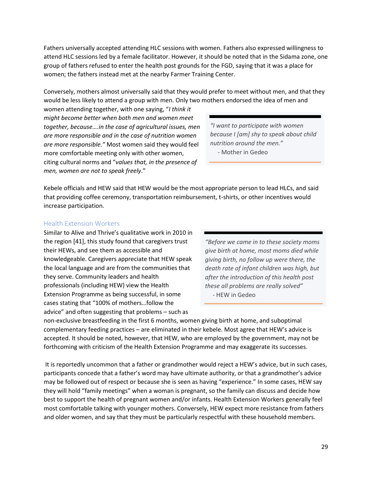Fathers universally accepted attending HLC sessions with women. Fathers also expressed willingness to attend HLC sessions led by a female facilitator. However, it should be noted that in the Sidama zone, one group of fathers refused to enter the health post grounds for the FGD, saying that it was a place for women; the fathers instead met at the nearby Farmer Training Center.

Conversely, mothers almost universally said that they would prefer to meet without men, and that they would be less likely to attend a group with men. Only two mothers endorsed the idea of men and

women attending together, with one saying, "*I think it might become better when both men and women meet together, because….in the case of agricultural issues, men are more responsible and in the case of nutrition women are more responsible."* Most women said they would feel more comfortable meeting only with other women, citing cultural norms and "*values that, in the presence of men, women are not to speak freely*."

*"I want to participate with women because I [am] shy to speak about child nutrition around the men."* - Mother in Gedeo

Kebele officials and HEW said that HEW would be the most appropriate person to lead HLCs, and said that providing coffee ceremony, transportation reimbursement, t-shirts, or other incentives would increase participation.

#### <span id="page-31-0"></span>Health Extension Workers

Similar to Alive and Thrive's qualitative work in 2010 in the region [41], this study found that caregivers trust their HEWs, and see them as accessible and knowledgeable. Caregivers appreciate that HEW speak the local language and are from the communities that they serve. Community leaders and health professionals (including HEW) view the Health Extension Programme as being successful, in some cases stating that "100% of mothers…follow the advice" and often suggesting that problems – such as

*"Before we came in to these society moms give birth at home, most moms died while giving birth, no follow up were there, the death rate of infant children was high, but after the introduction of this health post these all problems are really solved"* - HEW in Gedeo

non-exclusive breastfeeding in the first 6 months, women giving birth at home, and suboptimal complementary feeding practices – are eliminated in their kebele. Most agree that HEW's advice is accepted. It should be noted, however, that HEW, who are employed by the government, may not be forthcoming with criticism of the Health Extension Programme and may exaggerate its successes.

It is reportedly uncommon that a father or grandmother would reject a HEW's advice, but in such cases, participants concede that a father's word may have ultimate authority, or that a grandmother's advice may be followed out of respect or because she is seen as having "experience." In some cases, HEW say they will hold "family meetings" when a woman is pregnant, so the family can discuss and decide how best to support the health of pregnant women and/or infants. Health Extension Workers generally feel most comfortable talking with younger mothers. Conversely, HEW expect more resistance from fathers and older women, and say that they must be particularly respectful with these household members.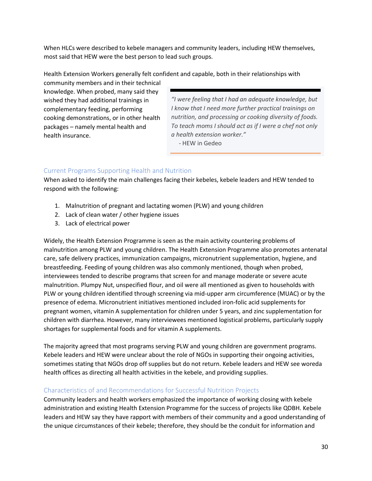When HLCs were described to kebele managers and community leaders, including HEW themselves, most said that HEW were the best person to lead such groups.

Health Extension Workers generally felt confident and capable, both in their relationships with

community members and in their technical knowledge. When probed, many said they wished they had additional trainings in complementary feeding, performing cooking demonstrations, or in other health packages – namely mental health and health insurance.

*"I were feeling that I had an adequate knowledge, but I know that I need more further practical trainings on nutrition, and processing or cooking diversity of foods. To teach moms I should act as if I were a chef not only a health extension worker."* 

- HEW in Gedeo

# <span id="page-32-0"></span>Current Programs Supporting Health and Nutrition

When asked to identify the main challenges facing their kebeles, kebele leaders and HEW tended to respond with the following:

- 1. Malnutrition of pregnant and lactating women (PLW) and young children
- 2. Lack of clean water / other hygiene issues
- 3. Lack of electrical power

Widely, the Health Extension Programme is seen as the main activity countering problems of malnutrition among PLW and young children. The Health Extension Programme also promotes antenatal care, safe delivery practices, immunization campaigns, micronutrient supplementation, hygiene, and breastfeeding. Feeding of young children was also commonly mentioned, though when probed, interviewees tended to describe programs that screen for and manage moderate or severe acute malnutrition. Plumpy Nut, unspecified flour, and oil were all mentioned as given to households with PLW or young children identified through screening via mid-upper arm circumference (MUAC) or by the presence of edema. Micronutrient initiatives mentioned included iron-folic acid supplements for pregnant women, vitamin A supplementation for children under 5 years, and zinc supplementation for children with diarrhea. However, many interviewees mentioned logistical problems, particularly supply shortages for supplemental foods and for vitamin A supplements.

The majority agreed that most programs serving PLW and young children are government programs. Kebele leaders and HEW were unclear about the role of NGOs in supporting their ongoing activities, sometimes stating that NGOs drop off supplies but do not return. Kebele leaders and HEW see woreda health offices as directing all health activities in the kebele, and providing supplies.

# <span id="page-32-1"></span>Characteristics of and Recommendations for Successful Nutrition Projects

Community leaders and health workers emphasized the importance of working closing with kebele administration and existing Health Extension Programme for the success of projects like QDBH. Kebele leaders and HEW say they have rapport with members of their community and a good understanding of the unique circumstances of their kebele; therefore, they should be the conduit for information and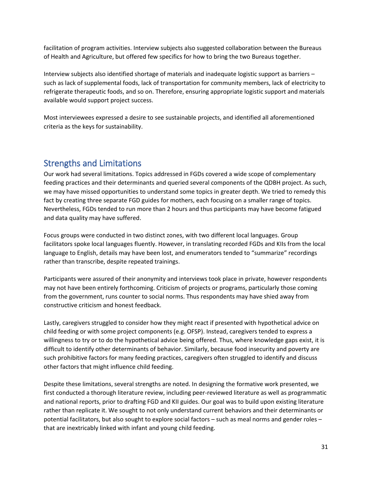facilitation of program activities. Interview subjects also suggested collaboration between the Bureaus of Health and Agriculture, but offered few specifics for how to bring the two Bureaus together.

Interview subjects also identified shortage of materials and inadequate logistic support as barriers – such as lack of supplemental foods, lack of transportation for community members, lack of electricity to refrigerate therapeutic foods, and so on. Therefore, ensuring appropriate logistic support and materials available would support project success.

Most interviewees expressed a desire to see sustainable projects, and identified all aforementioned criteria as the keys for sustainability.

# <span id="page-33-0"></span>Strengths and Limitations

Our work had several limitations. Topics addressed in FGDs covered a wide scope of complementary feeding practices and their determinants and queried several components of the QDBH project. As such, we may have missed opportunities to understand some topics in greater depth. We tried to remedy this fact by creating three separate FGD guides for mothers, each focusing on a smaller range of topics. Nevertheless, FGDs tended to run more than 2 hours and thus participants may have become fatigued and data quality may have suffered.

Focus groups were conducted in two distinct zones, with two different local languages. Group facilitators spoke local languages fluently. However, in translating recorded FGDs and KIIs from the local language to English, details may have been lost, and enumerators tended to "summarize" recordings rather than transcribe, despite repeated trainings.

Participants were assured of their anonymity and interviews took place in private, however respondents may not have been entirely forthcoming. Criticism of projects or programs, particularly those coming from the government, runs counter to social norms. Thus respondents may have shied away from constructive criticism and honest feedback.

Lastly, caregivers struggled to consider how they might react if presented with hypothetical advice on child feeding or with some project components (e.g. OFSP). Instead, caregivers tended to express a willingness to try or to do the hypothetical advice being offered. Thus, where knowledge gaps exist, it is difficult to identify other determinants of behavior. Similarly, because food insecurity and poverty are such prohibitive factors for many feeding practices, caregivers often struggled to identify and discuss other factors that might influence child feeding.

Despite these limitations, several strengths are noted. In designing the formative work presented, we first conducted a thorough literature review, including peer-reviewed literature as well as programmatic and national reports, prior to drafting FGD and KII guides. Our goal was to build upon existing literature rather than replicate it. We sought to not only understand current behaviors and their determinants or potential facilitators, but also sought to explore social factors – such as meal norms and gender roles – that are inextricably linked with infant and young child feeding.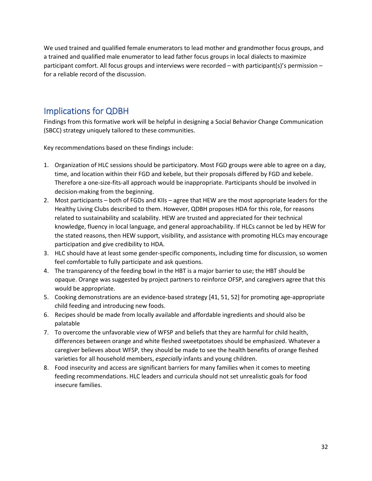We used trained and qualified female enumerators to lead mother and grandmother focus groups, and a trained and qualified male enumerator to lead father focus groups in local dialects to maximize participant comfort. All focus groups and interviews were recorded – with participant(s)'s permission – for a reliable record of the discussion.

# <span id="page-34-0"></span>Implications for QDBH

Findings from this formative work will be helpful in designing a Social Behavior Change Communication (SBCC) strategy uniquely tailored to these communities.

Key recommendations based on these findings include:

- 1. Organization of HLC sessions should be participatory. Most FGD groups were able to agree on a day, time, and location within their FGD and kebele, but their proposals differed by FGD and kebele. Therefore a one-size-fits-all approach would be inappropriate. Participants should be involved in decision-making from the beginning.
- 2. Most participants both of FGDs and KIIs agree that HEW are the most appropriate leaders for the Healthy Living Clubs described to them. However, QDBH proposes HDA for this role, for reasons related to sustainability and scalability. HEW are trusted and appreciated for their technical knowledge, fluency in local language, and general approachability. If HLCs cannot be led by HEW for the stated reasons, then HEW support, visibility, and assistance with promoting HLCs may encourage participation and give credibility to HDA.
- 3. HLC should have at least some gender-specific components, including time for discussion, so women feel comfortable to fully participate and ask questions.
- 4. The transparency of the feeding bowl in the HBT is a major barrier to use; the HBT should be opaque. Orange was suggested by project partners to reinforce OFSP, and caregivers agree that this would be appropriate.
- 5. Cooking demonstrations are an evidence-based strategy [41, 51, 52] for promoting age-appropriate child feeding and introducing new foods.
- 6. Recipes should be made from locally available and affordable ingredients and should also be palatable
- 7. To overcome the unfavorable view of WFSP and beliefs that they are harmful for child health, differences between orange and white fleshed sweetpotatoes should be emphasized. Whatever a caregiver believes about WFSP, they should be made to see the health benefits of orange fleshed varieties for all household members, *especially* infants and young children.
- 8. Food insecurity and access are significant barriers for many families when it comes to meeting feeding recommendations. HLC leaders and curricula should not set unrealistic goals for food insecure families.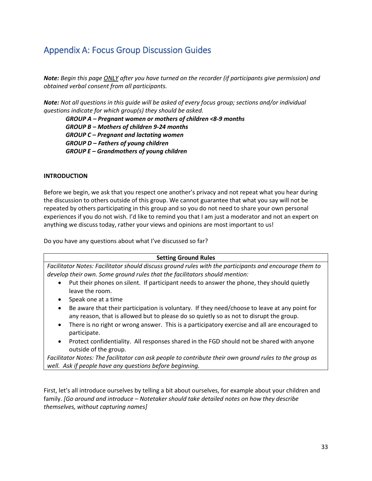# <span id="page-35-0"></span>Appendix A: Focus Group Discussion Guides

*Note: Begin this page ONLY after you have turned on the recorder (if participants give permission) and obtained verbal consent from all participants.*

*Note: Not all questions in this guide will be asked of every focus group; sections and/or individual questions indicate for which group(s) they should be asked.* 

*GROUP A – Pregnant women or mothers of children <8-9 months GROUP B – Mothers of children 9-24 months GROUP C – Pregnant and lactating women GROUP D – Fathers of young children GROUP E – Grandmothers of young children*

#### **INTRODUCTION**

Before we begin, we ask that you respect one another's privacy and not repeat what you hear during the discussion to others outside of this group. We cannot guarantee that what you say will not be repeated by others participating in this group and so you do not need to share your own personal experiences if you do not wish. I'd like to remind you that I am just a moderator and not an expert on anything we discuss today, rather your views and opinions are most important to us!

Do you have any questions about what I've discussed so far?



*Facilitator Notes: Facilitator should discuss ground rules with the participants and encourage them to develop their own. Some ground rules that the facilitators should mention:*

- Put their phones on silent. If participant needs to answer the phone, they should quietly leave the room.
- Speak one at a time
- Be aware that their participation is voluntary. If they need/choose to leave at any point for any reason, that is allowed but to please do so quietly so as not to disrupt the group.
- There is no right or wrong answer. This is a participatory exercise and all are encouraged to participate.
- Protect confidentiality. All responses shared in the FGD should not be shared with anyone outside of the group.

*Facilitator Notes: The facilitator can ask people to contribute their own ground rules to the group as well. Ask if people have any questions before beginning.*

First, let's all introduce ourselves by telling a bit about ourselves, for example about your children and family. *[Go around and introduce – Notetaker should take detailed notes on how they describe themselves, without capturing names]*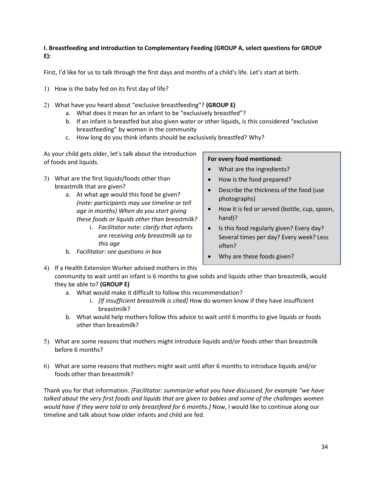#### **I. Breastfeeding and Introduction to Complementary Feeding (GROUP A, select questions for GROUP E):**

First, I'd like for us to talk through the first days and months of a child's life. Let's start at birth.

- 1) How is the baby fed on its first day of life?
- 2) What have you heard about "exclusive breastfeeding"? **(GROUP E)**
	- a. What does it mean for an infant to be "exclusively breastfed"?
	- b. If an infant is breastfed but also given water or other liquids, is this considered "exclusive breastfeeding" by women in the community
	- c. How long do you think infants should be exclusively breastfed? Why?

As your child gets older, let's talk about the introduction of foods and liquids.

- 3) What are the first liquids/foods other than breastmilk that are given?
	- a. At what age would this food be given? *(note: participants may use timeline or tell age in months) When do you start giving these foods or liquids other than breastmilk?*
		- i. *Facilitator note: clarify that infants are receiving only breastmilk up to this age*
	- b. *Facilitator: see questions in box*

#### **For every food mentioned:**

- What are the ingredients?
- How is the food prepared?
- Describe the thickness of the food (use photographs)
- How it is fed or served (bottle, cup, spoon, hand)?
- Is this food regularly given? Every day? Several times per day? Every week? Less often?
- Why are these foods given?

4) If a Health Extension Worker advised mothers in this community to wait until an infant is 6 months to give solids and liquids other than breastmilk, would they be able to? **(GROUP E)**

- a. What would make it difficult to follow this recommendation?
	- i. *[If insufficient breastmilk is cited]* How do women know if they have insufficient breastmilk?
- b. What would help mothers follow this advice to wait until 6 months to give liquids or foods other than breastmilk?
- 5) What are some reasons that mothers might introduce liquids and/or foods other than breastmilk before 6 months?
- 6) What are some reasons that mothers might wait until after 6 months to introduce liquids and/or foods other than breastmilk?

Thank you for that information. *[Facilitator: summarize what you have discussed, for example "we have talked about the very first foods and liquids that are given to babies and some of the challenges women would have if they were told to only breastfeed for 6 months.]* Now, I would like to continue along our timeline and talk about how older infants and child are fed.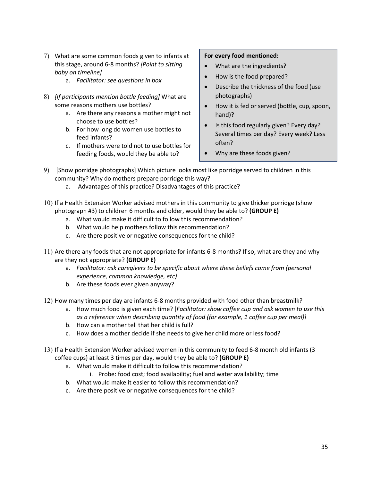- 7) What are some common foods given to infants at this stage, around 6-8 months? *[Point to sitting baby on timeline]*
	- a. *Facilitator: see questions in box*
- 8) *[If participants mention bottle feeding]* What are some reasons mothers use bottles?
	- a. Are there any reasons a mother might not choose to use bottles?
	- b. For how long do women use bottles to feed infants?
	- c. If mothers were told not to use bottles for feeding foods, would they be able to?

#### **For every food mentioned:**

- What are the ingredients?
- How is the food prepared?
- Describe the thickness of the food (use photographs)
- How it is fed or served (bottle, cup, spoon, hand)?
- Is this food regularly given? Every day? Several times per day? Every week? Less often?
- Why are these foods given?
- 9) [Show porridge photographs] Which picture looks most like porridge served to children in this community? Why do mothers prepare porridge this way?
	- a. Advantages of this practice? Disadvantages of this practice?
- 10) If a Health Extension Worker advised mothers in this community to give thicker porridge (show photograph #3) to children 6 months and older, would they be able to? **(GROUP E)**
	- a. What would make it difficult to follow this recommendation?
	- b. What would help mothers follow this recommendation?
	- c. Are there positive or negative consequences for the child?
- 11) Are there any foods that are not appropriate for infants 6-8 months? If so, what are they and why are they not appropriate? **(GROUP E)**
	- a. *Facilitator: ask caregivers to be specific about where these beliefs come from (personal experience, common knowledge, etc)*
	- b. Are these foods ever given anyway?
- 12) How many times per day are infants 6-8 months provided with food other than breastmilk?
	- a. How much food is given each time? [*Facilitator: show coffee cup and ask women to use this as a reference when describing quantity of food (for example, 1 coffee cup per meal)]*
	- b. How can a mother tell that her child is full?
	- c. How does a mother decide if she needs to give her child more or less food?
- 13) If a Health Extension Worker advised women in this community to feed 6-8 month old infants (3 coffee cups) at least 3 times per day, would they be able to? **(GROUP E)**
	- a. What would make it difficult to follow this recommendation?
		- i. Probe: food cost; food availability; fuel and water availability; time
	- b. What would make it easier to follow this recommendation?
	- c. Are there positive or negative consequences for the child?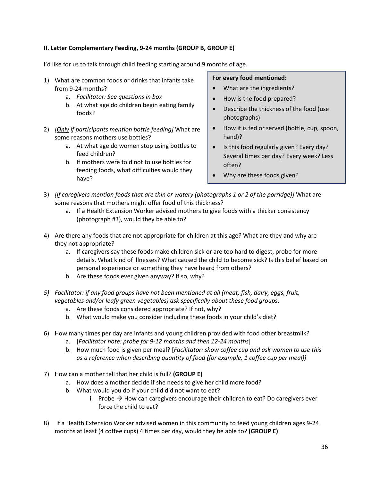#### **II. Latter Complementary Feeding, 9-24 months (GROUP B, GROUP E)**

I'd like for us to talk through child feeding starting around 9 months of age.

- 1) What are common foods or drinks that infants take from 9-24 months?
	- a. *Facilitator: See questions in box*
	- b. At what age do children begin eating family foods?
- 2) *[Only if participants mention bottle feeding]* What are some reasons mothers use bottles?
	- a. At what age do women stop using bottles to feed children?
	- b. If mothers were told not to use bottles for feeding foods, what difficulties would they have?

#### **For every food mentioned:**

- What are the ingredients?
- How is the food prepared?
- Describe the thickness of the food (use photographs)
- How it is fed or served (bottle, cup, spoon, hand)?
- Is this food regularly given? Every day? Several times per day? Every week? Less often?
- Why are these foods given?
- 3) *[If caregivers mention foods that are thin or watery (photographs 1 or 2 of the porridge)]* What are some reasons that mothers might offer food of this thickness?
	- a. If a Health Extension Worker advised mothers to give foods with a thicker consistency (photograph #3), would they be able to?
- 4) Are there any foods that are not appropriate for children at this age? What are they and why are they not appropriate?
	- a. If caregivers say these foods make children sick or are too hard to digest, probe for more details. What kind of illnesses? What caused the child to become sick? Is this belief based on personal experience or something they have heard from others?
	- b. Are these foods ever given anyway? If so, why?
- *5) Facilitator: if any food groups have not been mentioned at all (meat, fish, dairy, eggs, fruit, vegetables and/or leafy green vegetables) ask specifically about these food groups*.
	- a. Are these foods considered appropriate? If not, why?
	- b. What would make you consider including these foods in your child's diet?
- 6) How many times per day are infants and young children provided with food other breastmilk?
	- a. [*Facilitator note: probe for 9-12 months and then 12-24 months*]
	- b. How much food is given per meal? [*Facilitator: show coffee cup and ask women to use this as a reference when describing quantity of food (for example, 1 coffee cup per meal)]*
- 7) How can a mother tell that her child is full? **(GROUP E)**
	- a. How does a mother decide if she needs to give her child more food?
	- b. What would you do if your child did not want to eat?
		- i. Probe  $\rightarrow$  How can caregivers encourage their children to eat? Do caregivers ever force the child to eat?
- 8) If a Health Extension Worker advised women in this community to feed young children ages 9-24 months at least (4 coffee cups) 4 times per day, would they be able to? **(GROUP E)**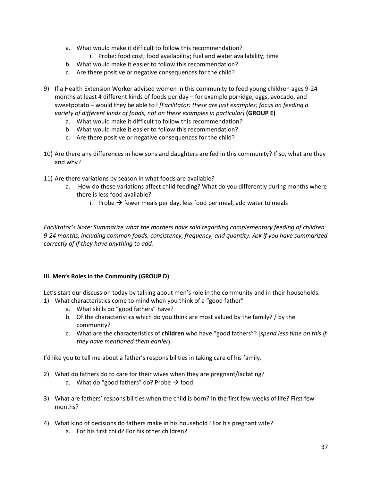- a. What would make it difficult to follow this recommendation?
	- i. Probe: food cost; food availability; fuel and water availability; time
- b. What would make it easier to follow this recommendation?
- c. Are there positive or negative consequences for the child?
- 9) If a Health Extension Worker advised women in this community to feed young children ages 9-24 months at least 4 different kinds of foods per day – for example porridge, eggs, avocado, and sweetpotato – would they be able to? *[Facilitator: these are just examples; focus on feeding a variety of different kinds of foods, not on these examples in particular]* (GROUP E)
	- a. What would make it difficult to follow this recommendation?
	- b. What would make it easier to follow this recommendation?
	- c. Are there positive or negative consequences for the child?
- 10) Are there any differences in how sons and daughters are fed in this community? If so, what are they and why?
- 11) Are there variations by season in what foods are available?
	- a. How do these variations affect child feeding? What do you differently during months where there is less food available?
		- i. Probe  $\rightarrow$  fewer meals per day, less food per meal, add water to meals

*Facilitator's Note: Summarize what the mothers have said regarding complementary feeding of children 9-24 months, including common foods, consistency, frequency, and quantity. Ask if you have summarized correctly of if they have anything to add.* 

#### **III. Men's Roles in the Community (GROUP D)**

Let's start our discussion today by talking about men's role in the community and in their households. 1) What characteristics come to mind when you think of a "good father"

- a. What skills do "good fathers" have?
- b. Of the characteristics which do you think are most valued by the family? / by the community?
- c. What are the characteristics of **children** who have "good fathers"? [*spend less time on this if they have mentioned them earlier]*

I'd like you to tell me about a father's responsibilities in taking care of his family.

- 2) What do fathers do to care for their wives when they are pregnant/lactating?
	- a. What do "good fathers" do? Probe  $\rightarrow$  food
- 3) What are fathers' responsibilities when the child is born? In the first few weeks of life? First few months?
- 4) What kind of decisions do fathers make in his household? For his pregnant wife?
	- a. For his first child? For his other children?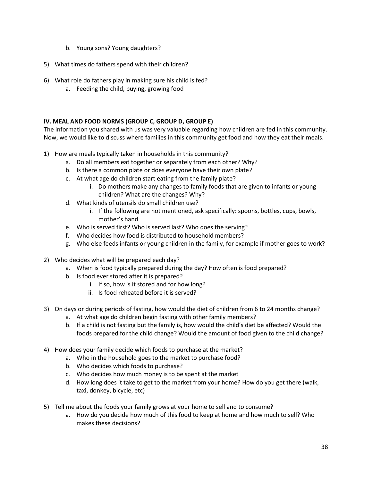- b. Young sons? Young daughters?
- 5) What times do fathers spend with their children?
- 6) What role do fathers play in making sure his child is fed?
	- a. Feeding the child, buying, growing food

#### **IV. MEAL AND FOOD NORMS (GROUP C, GROUP D, GROUP E)**

The information you shared with us was very valuable regarding how children are fed in this community. Now, we would like to discuss where families in this community get food and how they eat their meals.

- 1) How are meals typically taken in households in this community?
	- a. Do all members eat together or separately from each other? Why?
	- b. Is there a common plate or does everyone have their own plate?
	- c. At what age do children start eating from the family plate?
		- i. Do mothers make any changes to family foods that are given to infants or young children? What are the changes? Why?
	- d. What kinds of utensils do small children use?
		- i. If the following are not mentioned, ask specifically: spoons, bottles, cups, bowls, mother's hand
	- e. Who is served first? Who is served last? Who does the serving?
	- f. Who decides how food is distributed to household members?
	- g. Who else feeds infants or young children in the family, for example if mother goes to work?
- 2) Who decides what will be prepared each day?
	- a. When is food typically prepared during the day? How often is food prepared?
	- b. Is food ever stored after it is prepared?
		- i. If so, how is it stored and for how long?
		- ii. Is food reheated before it is served?
- 3) On days or during periods of fasting, how would the diet of children from 6 to 24 months change?
	- a. At what age do children begin fasting with other family members?
	- b. If a child is not fasting but the family is, how would the child's diet be affected? Would the foods prepared for the child change? Would the amount of food given to the child change?
- 4) How does your family decide which foods to purchase at the market?
	- a. Who in the household goes to the market to purchase food?
	- b. Who decides which foods to purchase?
	- c. Who decides how much money is to be spent at the market
	- d. How long does it take to get to the market from your home? How do you get there (walk, taxi, donkey, bicycle, etc)
- 5) Tell me about the foods your family grows at your home to sell and to consume?
	- a. How do you decide how much of this food to keep at home and how much to sell? Who makes these decisions?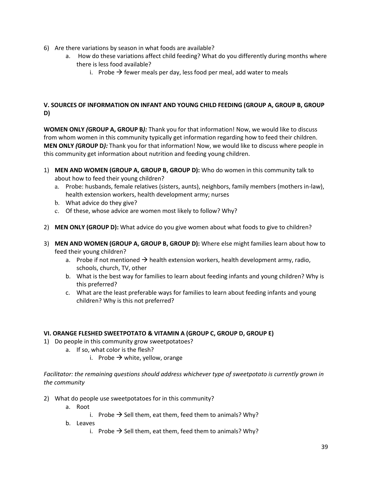- 6) Are there variations by season in what foods are available?
	- a. How do these variations affect child feeding? What do you differently during months where there is less food available?
		- i. Probe  $\rightarrow$  fewer meals per day, less food per meal, add water to meals

#### **V. SOURCES OF INFORMATION ON INFANT AND YOUNG CHILD FEEDING (GROUP A, GROUP B, GROUP D)**

**WOMEN ONLY** *(***GROUP A, GROUP B***):* Thank you for that information! Now, we would like to discuss from whom women in this community typically get information regarding how to feed their children. **MEN ONLY** *(***GROUP D***):* Thank you for that information! Now, we would like to discuss where people in this community get information about nutrition and feeding young children.

- 1) **MEN AND WOMEN (GROUP A, GROUP B, GROUP D):** Who do women in this community talk to about how to feed their young children?
	- a. Probe: husbands, female relatives (sisters, aunts), neighbors, family members (mothers in-law), health extension workers, health development army; nurses
	- b. What advice do they give?
	- c. Of these, whose advice are women most likely to follow? Why?
- 2) **MEN ONLY (GROUP D):** What advice do you give women about what foods to give to children?
- 3) **MEN AND WOMEN (GROUP A, GROUP B, GROUP D):** Where else might families learn about how to feed their young children?
	- a. Probe if not mentioned  $\rightarrow$  health extension workers, health development army, radio, schools, church, TV, other
	- b. What is the best way for families to learn about feeding infants and young children? Why is this preferred?
	- c. What are the least preferable ways for families to learn about feeding infants and young children? Why is this not preferred?

#### **VI. ORANGE FLESHED SWEETPOTATO & VITAMIN A (GROUP C, GROUP D, GROUP E)**

- 1) Do people in this community grow sweetpotatoes?
	- a. If so, what color is the flesh?
		- i. Probe  $\rightarrow$  white, yellow, orange

*Facilitator: the remaining questions should address whichever type of sweetpotato is currently grown in the community*

- 2) What do people use sweetpotatoes for in this community?
	- a. Root
		- i. Probe  $\rightarrow$  Sell them, eat them, feed them to animals? Why?
	- b. Leaves
		- i. Probe  $\rightarrow$  Sell them, eat them, feed them to animals? Why?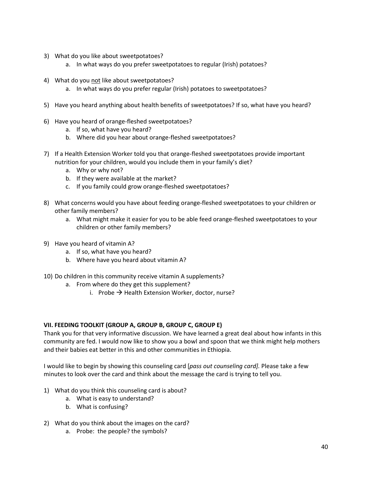- 3) What do you like about sweetpotatoes?
	- a. In what ways do you prefer sweetpotatoes to regular (Irish) potatoes?
- 4) What do you not like about sweetpotatoes?
	- a. In what ways do you prefer regular (Irish) potatoes to sweetpotatoes?
- 5) Have you heard anything about health benefits of sweetpotatoes? If so, what have you heard?
- 6) Have you heard of orange-fleshed sweetpotatoes?
	- a. If so, what have you heard?
	- b. Where did you hear about orange-fleshed sweetpotatoes?
- 7) If a Health Extension Worker told you that orange-fleshed sweetpotatoes provide important nutrition for your children, would you include them in your family's diet?
	- a. Why or why not?
	- b. If they were available at the market?
	- c. If you family could grow orange-fleshed sweetpotatoes?
- 8) What concerns would you have about feeding orange-fleshed sweetpotatoes to your children or other family members?
	- a. What might make it easier for you to be able feed orange-fleshed sweetpotatoes to your children or other family members?
- 9) Have you heard of vitamin A?
	- a. If so, what have you heard?
	- b. Where have you heard about vitamin A?
- 10) Do children in this community receive vitamin A supplements?
	- a. From where do they get this supplement?
		- i. Probe  $\rightarrow$  Health Extension Worker, doctor, nurse?

#### **VII. FEEDING TOOLKIT (GROUP A, GROUP B, GROUP C, GROUP E)**

Thank you for that very informative discussion. We have learned a great deal about how infants in this community are fed. I would now like to show you a bowl and spoon that we think might help mothers and their babies eat better in this and other communities in Ethiopia.

I would like to begin by showing this counseling card [*pass out counseling card].* Please take a few minutes to look over the card and think about the message the card is trying to tell you.

- 1) What do you think this counseling card is about?
	- a. What is easy to understand?
	- b. What is confusing?
- 2) What do you think about the images on the card?
	- a. Probe: the people? the symbols?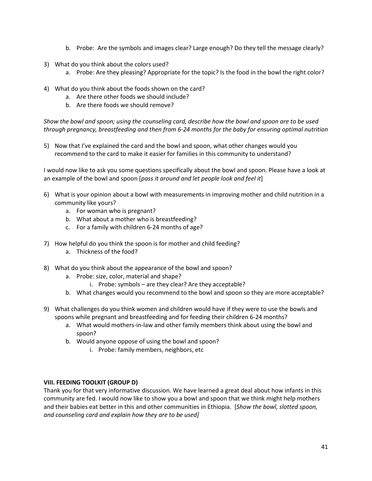- b. Probe: Are the symbols and images clear? Large enough? Do they tell the message clearly?
- 3) What do you think about the colors used?
	- a. Probe: Are they pleasing? Appropriate for the topic? Is the food in the bowl the right color?
- 4) What do you think about the foods shown on the card?
	- a. Are there other foods we should include?
	- b. Are there foods we should remove?

*Show the bowl and spoon; using the counseling card, describe how the bowl and spoon are to be used through pregnancy, breastfeeding and then from 6-24 months for the baby for ensuring optimal nutrition* 

5) Now that I've explained the card and the bowl and spoon, what other changes would you recommend to the card to make it easier for families in this community to understand?

I would now like to ask you some questions specifically about the bowl and spoon. Please have a look at an example of the bowl and spoon [*pass it around and let people look and feel it*]

- 6) What is your opinion about a bowl with measurements in improving mother and child nutrition in a community like yours?
	- a. For woman who is pregnant?
	- b. What about a mother who is breastfeeding?
	- c. For a family with children 6-24 months of age?
- 7) How helpful do you think the spoon is for mother and child feeding?
	- a. Thickness of the food?
- 8) What do you think about the appearance of the bowl and spoon?
	- a. Probe: size, color, material and shape?
		- i. Probe: symbols are they clear? Are they acceptable?
	- b. What changes would you recommend to the bowl and spoon so they are more acceptable?
- 9) What challenges do you think women and children would have if they were to use the bowls and spoons while pregnant and breastfeeding and for feeding their children 6-24 months?
	- a. What would mothers-in-law and other family members think about using the bowl and spoon?
	- b. Would anyone oppose of using the bowl and spoon?
		- i. Probe: family members, neighbors, etc

#### **VIII. FEEDING TOOLKIT (GROUP D)**

Thank you for that very informative discussion. We have learned a great deal about how infants in this community are fed. I would now like to show you a bowl and spoon that we think might help mothers and their babies eat better in this and other communities in Ethiopia. [*Show the bowl, slotted spoon, and counseling card and explain how they are to be used]*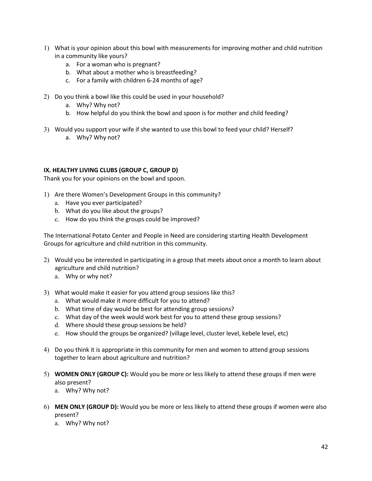- 1) What is your opinion about this bowl with measurements for improving mother and child nutrition in a community like yours?
	- a. For a woman who is pregnant?
	- b. What about a mother who is breastfeeding?
	- c. For a family with children 6-24 months of age?
- 2) Do you think a bowl like this could be used in your household?
	- a. Why? Why not?
	- b. How helpful do you think the bowl and spoon is for mother and child feeding?
- 3) Would you support your wife if she wanted to use this bowl to feed your child? Herself? a. Why? Why not?

#### **IX. HEALTHY LIVING CLUBS (GROUP C, GROUP D)**

Thank you for your opinions on the bowl and spoon.

- 1) Are there Women's Development Groups in this community?
	- a. Have you ever participated?
	- b. What do you like about the groups?
	- c. How do you think the groups could be improved?

The International Potato Center and People in Need are considering starting Health Development Groups for agriculture and child nutrition in this community.

- 2) Would you be interested in participating in a group that meets about once a month to learn about agriculture and child nutrition?
	- a. Why or why not?
- 3) What would make it easier for you attend group sessions like this?
	- a. What would make it more difficult for you to attend?
	- b. What time of day would be best for attending group sessions?
	- c. What day of the week would work best for you to attend these group sessions?
	- d. Where should these group sessions be held?
	- e. How should the groups be organized? (village level, cluster level, kebele level, etc)
- 4) Do you think it is appropriate in this community for men and women to attend group sessions together to learn about agriculture and nutrition?
- 5) **WOMEN ONLY (GROUP C):** Would you be more or less likely to attend these groups if men were also present?
	- a. Why? Why not?
- 6) **MEN ONLY (GROUP D):** Would you be more or less likely to attend these groups if women were also present?
	- a. Why? Why not?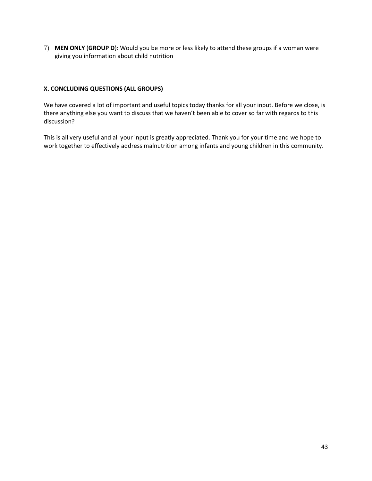7) **MEN ONLY** (**GROUP D**): Would you be more or less likely to attend these groups if a woman were giving you information about child nutrition

#### **X. CONCLUDING QUESTIONS (ALL GROUPS)**

We have covered a lot of important and useful topics today thanks for all your input. Before we close, is there anything else you want to discuss that we haven't been able to cover so far with regards to this discussion?

This is all very useful and all your input is greatly appreciated. Thank you for your time and we hope to work together to effectively address malnutrition among infants and young children in this community.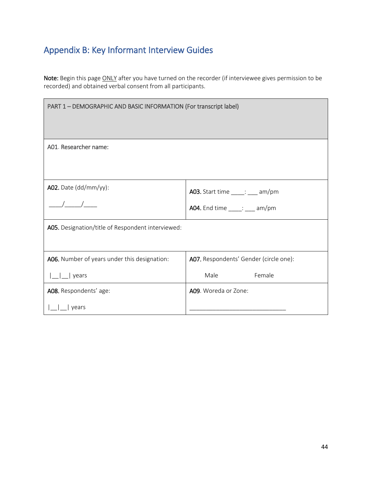# Appendix B: Key Informant Interview Guides

Note: Begin this page **ONLY** after you have turned on the recorder (if interviewee gives permission to be recorded) and obtained verbal consent from all participants.

| PART 1 - DEMOGRAPHIC AND BASIC INFORMATION (For transcript label) |                                         |  |  |  |  |
|-------------------------------------------------------------------|-----------------------------------------|--|--|--|--|
|                                                                   |                                         |  |  |  |  |
| A01. Researcher name:                                             |                                         |  |  |  |  |
|                                                                   |                                         |  |  |  |  |
| A02. Date (dd/mm/yy):                                             | <b>A03.</b> Start time _____: ___ am/pm |  |  |  |  |
|                                                                   | <b>A04.</b> End time _____: ___ am/pm   |  |  |  |  |
| A05. Designation/title of Respondent interviewed:                 |                                         |  |  |  |  |
|                                                                   |                                         |  |  |  |  |
| A06. Number of years under this designation:                      | A07. Respondents' Gender (circle one):  |  |  |  |  |
| years                                                             | Female<br>Male                          |  |  |  |  |
| A08. Respondents' age:                                            | A09. Woreda or Zone:                    |  |  |  |  |
| years                                                             |                                         |  |  |  |  |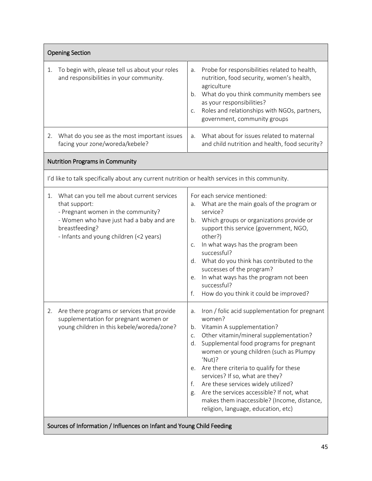| <b>Opening Section</b>                                                                                                                                                                                            |                                                                                                                                                                                                                                                                                                                                                                                                                                                                                                                                    |
|-------------------------------------------------------------------------------------------------------------------------------------------------------------------------------------------------------------------|------------------------------------------------------------------------------------------------------------------------------------------------------------------------------------------------------------------------------------------------------------------------------------------------------------------------------------------------------------------------------------------------------------------------------------------------------------------------------------------------------------------------------------|
| To begin with, please tell us about your roles<br>1.<br>and responsibilities in your community.                                                                                                                   | Probe for responsibilities related to health,<br>a.<br>nutrition, food security, women's health,<br>agriculture<br>What do you think community members see<br>b.<br>as your responsibilities?<br>Roles and relationships with NGOs, partners,<br>C.<br>government, community groups                                                                                                                                                                                                                                                |
| What do you see as the most important issues<br>2.<br>facing your zone/woreda/kebele?                                                                                                                             | What about for issues related to maternal<br>a.<br>and child nutrition and health, food security?                                                                                                                                                                                                                                                                                                                                                                                                                                  |
| <b>Nutrition Programs in Community</b>                                                                                                                                                                            |                                                                                                                                                                                                                                                                                                                                                                                                                                                                                                                                    |
| I'd like to talk specifically about any current nutrition or health services in this community.                                                                                                                   |                                                                                                                                                                                                                                                                                                                                                                                                                                                                                                                                    |
| What can you tell me about current services<br>1.<br>that support:<br>- Pregnant women in the community?<br>- Women who have just had a baby and are<br>breastfeeding?<br>- Infants and young children (<2 years) | For each service mentioned:<br>What are the main goals of the program or<br>a.<br>service?<br>Which groups or organizations provide or<br>b.<br>support this service (government, NGO,<br>other?)<br>In what ways has the program been<br>C.<br>successful?<br>What do you think has contributed to the<br>d.<br>successes of the program?<br>In what ways has the program not been<br>е.<br>successful?<br>f.<br>How do you think it could be improved?                                                                           |
| 2. Are there programs or services that provide<br>supplementation for pregnant women or<br>young children in this kebele/woreda/zone?                                                                             | Iron / folic acid supplementation for pregnant<br>a.<br>women?<br>Vitamin A supplementation?<br>b.<br>Other vitamin/mineral supplementation?<br>C.<br>Supplemental food programs for pregnant<br>d.<br>women or young children (such as Plumpy<br>'Nut)?<br>Are there criteria to qualify for these<br>е.<br>services? If so, what are they?<br>Are these services widely utilized?<br>f.<br>Are the services accessible? If not, what<br>g.<br>makes them inaccessible? (Income, distance,<br>religion, language, education, etc) |
| Sources of Information / Influences on Infant and Young Child Feeding                                                                                                                                             |                                                                                                                                                                                                                                                                                                                                                                                                                                                                                                                                    |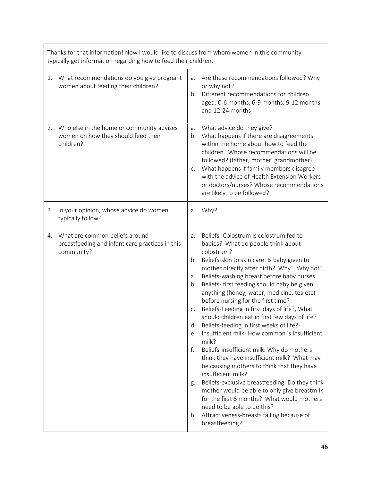|    | Thanks for that information! Now I would like to discuss from whom women in this community<br>typically get information regarding how to feed their children. |                                                          |                                                                                                                                                                                                                                                                                                                                                                                                                                                                                                                                                                                                                                                                                                                                                                                                                                                                                                                                                                                              |  |  |
|----|---------------------------------------------------------------------------------------------------------------------------------------------------------------|----------------------------------------------------------|----------------------------------------------------------------------------------------------------------------------------------------------------------------------------------------------------------------------------------------------------------------------------------------------------------------------------------------------------------------------------------------------------------------------------------------------------------------------------------------------------------------------------------------------------------------------------------------------------------------------------------------------------------------------------------------------------------------------------------------------------------------------------------------------------------------------------------------------------------------------------------------------------------------------------------------------------------------------------------------------|--|--|
| 1. | What recommendations do you give pregnant<br>women about feeding their children?                                                                              | a.<br>$h_{\cdot}$                                        | Are these recommendations followed? Why<br>or why not?<br>Different recommendations for children<br>aged: 0-6 months, 6-9 months, 9-12 months<br>and 12-24 months                                                                                                                                                                                                                                                                                                                                                                                                                                                                                                                                                                                                                                                                                                                                                                                                                            |  |  |
| 2. | Who else in the home or community advises<br>women on how they should feed their<br>children?                                                                 | a.<br>b.<br>C.                                           | What advice do they give?<br>What happens if there are disagreements<br>within the home about how to feed the<br>children? Whose recommendations will be<br>followed? (father, mother, grandmother)<br>What happens if family members disagree<br>with the advice of Health Extension Workers<br>or doctors/nurses? Whose recommendations<br>are likely to be followed?                                                                                                                                                                                                                                                                                                                                                                                                                                                                                                                                                                                                                      |  |  |
| 3. | In your opinion, whose advice do women<br>typically follow?                                                                                                   | a.                                                       | Why?                                                                                                                                                                                                                                                                                                                                                                                                                                                                                                                                                                                                                                                                                                                                                                                                                                                                                                                                                                                         |  |  |
| 4. | What are common beliefs around<br>breastfeeding and infant care practices in this<br>community?                                                               | a.<br>b.<br>а.<br>b.<br>C.<br>d.<br>e.<br>f.<br>g.<br>h. | Beliefs- Colostrum Is colostrum fed to<br>babies? What do people think about<br>colostrum?<br>Beliefs-skin to skin care: Is baby given to<br>mother directly after birth? Why? Why not?<br>Beliefs-washing breast before baby nurses<br>Beliefs- first feeding should baby be given<br>anything (honey, water, medicine, tea etc)<br>before nursing for the first time?<br>Beliefs-Feeding in first days of life?, What<br>should children eat in first few days of life?<br>Beliefs-feeding in first weeks of life?-<br>Insufficient milk-How common is insufficient<br>milk?<br>Beliefs-insufficient milk: Why do mothers<br>think they have insufficient milk? What may<br>be causing mothers to think that they have<br>insufficient milk?<br>Beliefs-exclusive breastfeeding: Do they think<br>mother would be able to only give breastmilk<br>for the first 6 months? What would mothers<br>need to be able to do this?<br>Attractiveness-breasts falling because of<br>breastfeeding? |  |  |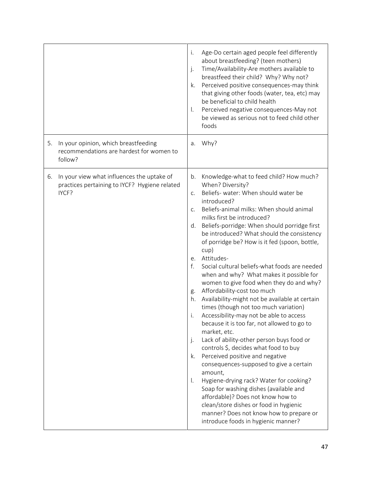|                                                                                                            | Age-Do certain aged people feel differently<br>i.<br>about breastfeeding? (teen mothers)<br>Time/Availability-Are mothers available to<br>$\cdot$<br>breastfeed their child? Why? Why not?<br>Perceived positive consequences-may think<br>k.<br>that giving other foods (water, tea, etc) may<br>be beneficial to child health<br>Perceived negative consequences-May not<br>$\mathsf{L}$<br>be viewed as serious not to feed child other<br>foods                                                                                                                                                                                                                                                                                                                                                                                                                                                                                                                                                                                                                                                                                                                                                                                                                                 |
|------------------------------------------------------------------------------------------------------------|-------------------------------------------------------------------------------------------------------------------------------------------------------------------------------------------------------------------------------------------------------------------------------------------------------------------------------------------------------------------------------------------------------------------------------------------------------------------------------------------------------------------------------------------------------------------------------------------------------------------------------------------------------------------------------------------------------------------------------------------------------------------------------------------------------------------------------------------------------------------------------------------------------------------------------------------------------------------------------------------------------------------------------------------------------------------------------------------------------------------------------------------------------------------------------------------------------------------------------------------------------------------------------------|
| In your opinion, which breastfeeding<br>5.<br>recommendations are hardest for women to<br>follow?          | a. Why?                                                                                                                                                                                                                                                                                                                                                                                                                                                                                                                                                                                                                                                                                                                                                                                                                                                                                                                                                                                                                                                                                                                                                                                                                                                                             |
| In your view what influences the uptake of<br>6.<br>practices pertaining to IYCF? Hygiene related<br>IYCF? | Knowledge-what to feed child? How much?<br>b.<br>When? Diversity?<br>Beliefs- water: When should water be<br>C <sub>1</sub><br>introduced?<br>Beliefs-animal milks: When should animal<br>C <sub>1</sub><br>milks first be introduced?<br>Beliefs-porridge: When should porridge first<br>d.<br>be introduced? What should the consistency<br>of porridge be? How is it fed (spoon, bottle,<br>cup)<br>Attitudes-<br>e.<br>f.<br>Social cultural beliefs-what foods are needed<br>when and why? What makes it possible for<br>women to give food when they do and why?<br>Affordability-cost too much<br>g.<br>Availability-might not be available at certain<br>h.<br>times (though not too much variation)<br>Accessibility-may not be able to access<br>i.<br>because it is too far, not allowed to go to<br>market, etc.<br>Lack of ability-other person buys food or<br>j.<br>controls \$, decides what food to buy<br>Perceived positive and negative<br>k.<br>consequences-supposed to give a certain<br>amount,<br>Hygiene-drying rack? Water for cooking?<br>I.<br>Soap for washing dishes (available and<br>affordable)? Does not know how to<br>clean/store dishes or food in hygienic<br>manner? Does not know how to prepare or<br>introduce foods in hygienic manner? |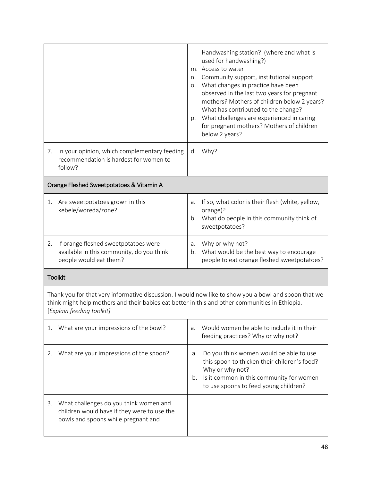|                                                                                                                                    | Handwashing station? (where and what is<br>used for handwashing?)<br>m. Access to water<br>Community support, institutional support<br>n.<br>o. What changes in practice have been<br>observed in the last two years for pregnant<br>mothers? Mothers of children below 2 years?<br>What has contributed to the change?<br>What challenges are experienced in caring<br>p.<br>for pregnant mothers? Mothers of children<br>below 2 years? |
|------------------------------------------------------------------------------------------------------------------------------------|-------------------------------------------------------------------------------------------------------------------------------------------------------------------------------------------------------------------------------------------------------------------------------------------------------------------------------------------------------------------------------------------------------------------------------------------|
| In your opinion, which complementary feeding<br>7.<br>recommendation is hardest for women to<br>follow?                            | d. Why?                                                                                                                                                                                                                                                                                                                                                                                                                                   |
| Orange Fleshed Sweetpotatoes & Vitamin A                                                                                           |                                                                                                                                                                                                                                                                                                                                                                                                                                           |
| Are sweetpotatoes grown in this<br>1.<br>kebele/woreda/zone?                                                                       | If so, what color is their flesh (white, yellow,<br>a.<br>orange)?<br>b. What do people in this community think of<br>sweetpotatoes?                                                                                                                                                                                                                                                                                                      |
| If orange fleshed sweetpotatoes were<br>2.<br>available in this community, do you think<br>people would eat them?                  | Why or why not?<br>a.<br>What would be the best way to encourage<br>$b_{\cdot}$<br>people to eat orange fleshed sweetpotatoes?                                                                                                                                                                                                                                                                                                            |
| <b>Toolkit</b>                                                                                                                     |                                                                                                                                                                                                                                                                                                                                                                                                                                           |
| think might help mothers and their babies eat better in this and other communities in Ethiopia.<br>[Explain feeding toolkit]       | Thank you for that very informative discussion. I would now like to show you a bowl and spoon that we                                                                                                                                                                                                                                                                                                                                     |
| What are your impressions of the bowl?<br>1.                                                                                       | Would women be able to include it in their<br>a.<br>feeding practices? Why or why not?                                                                                                                                                                                                                                                                                                                                                    |
| What are your impressions of the spoon?<br>2.                                                                                      | Do you think women would be able to use<br>а.<br>this spoon to thicken their children's food?<br>Why or why not?<br>Is it common in this community for women<br>b.<br>to use spoons to feed young children?                                                                                                                                                                                                                               |
| What challenges do you think women and<br>3.<br>children would have if they were to use the<br>bowls and spoons while pregnant and |                                                                                                                                                                                                                                                                                                                                                                                                                                           |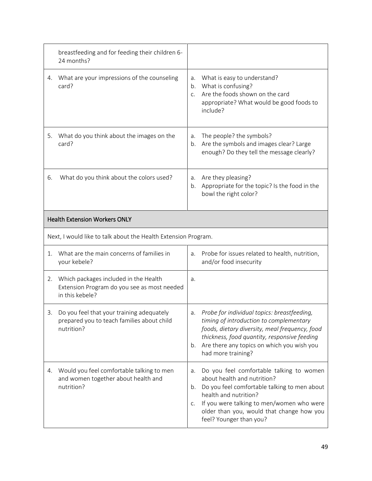|    | breastfeeding and for feeding their children 6-<br>24 months?                                           |                            |                                                                                                                                                                                                                                                                       |
|----|---------------------------------------------------------------------------------------------------------|----------------------------|-----------------------------------------------------------------------------------------------------------------------------------------------------------------------------------------------------------------------------------------------------------------------|
| 4. | What are your impressions of the counseling<br>card?                                                    | a.<br>b.<br>C <sub>1</sub> | What is easy to understand?<br>What is confusing?<br>Are the foods shown on the card<br>appropriate? What would be good foods to<br>include?                                                                                                                          |
| 5. | What do you think about the images on the<br>card?                                                      | a.<br>b.                   | The people? the symbols?<br>Are the symbols and images clear? Large<br>enough? Do they tell the message clearly?                                                                                                                                                      |
| 6. | What do you think about the colors used?                                                                | a.<br>b.                   | Are they pleasing?<br>Appropriate for the topic? Is the food in the<br>bowl the right color?                                                                                                                                                                          |
|    | <b>Health Extension Workers ONLY</b>                                                                    |                            |                                                                                                                                                                                                                                                                       |
|    | Next, I would like to talk about the Health Extension Program.                                          |                            |                                                                                                                                                                                                                                                                       |
| 1. | What are the main concerns of families in<br>your kebele?                                               | a.                         | Probe for issues related to health, nutrition,<br>and/or food insecurity                                                                                                                                                                                              |
| 2. | Which packages included in the Health<br>Extension Program do you see as most needed<br>in this kebele? | a.                         |                                                                                                                                                                                                                                                                       |
| 3. | Do you feel that your training adequately<br>prepared you to teach families about child<br>nutrition?   | а.<br>b.                   | Probe for individual topics: breastfeeding,<br>timing of introduction to complementary<br>foods, dietary diversity, meal frequency, food<br>thickness, food quantity, responsive feeding<br>Are there any topics on which you wish you<br>had more training?          |
| 4. | Would you feel comfortable talking to men<br>and women together about health and<br>nutrition?          | a.<br>b.<br>C.             | Do you feel comfortable talking to women<br>about health and nutrition?<br>Do you feel comfortable talking to men about<br>health and nutrition?<br>If you were talking to men/women who were<br>older than you, would that change how you<br>feel? Younger than you? |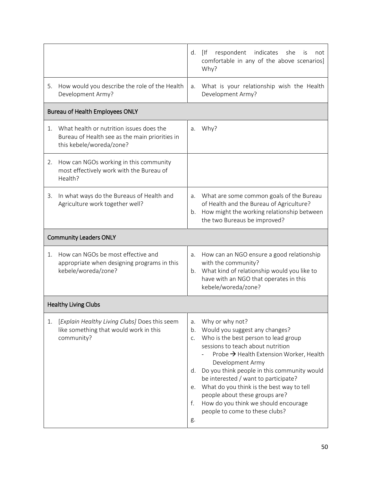|    |                                                                                                                           |                                        | d. [If<br>respondent indicates<br>she<br>not<br>İS<br>comfortable in any of the above scenarios]<br>Why?                                                                                                                                                                                                                                                                                                                                      |
|----|---------------------------------------------------------------------------------------------------------------------------|----------------------------------------|-----------------------------------------------------------------------------------------------------------------------------------------------------------------------------------------------------------------------------------------------------------------------------------------------------------------------------------------------------------------------------------------------------------------------------------------------|
| 5. | How would you describe the role of the Health<br>Development Army?                                                        | a.                                     | What is your relationship wish the Health<br>Development Army?                                                                                                                                                                                                                                                                                                                                                                                |
|    | <b>Bureau of Health Employees ONLY</b>                                                                                    |                                        |                                                                                                                                                                                                                                                                                                                                                                                                                                               |
|    | 1. What health or nutrition issues does the<br>Bureau of Health see as the main priorities in<br>this kebele/woreda/zone? | a.                                     | Why?                                                                                                                                                                                                                                                                                                                                                                                                                                          |
| 2. | How can NGOs working in this community<br>most effectively work with the Bureau of<br>Health?                             |                                        |                                                                                                                                                                                                                                                                                                                                                                                                                                               |
| 3. | In what ways do the Bureaus of Health and<br>Agriculture work together well?                                              | b.                                     | a. What are some common goals of the Bureau<br>of Health and the Bureau of Agriculture?<br>How might the working relationship between<br>the two Bureaus be improved?                                                                                                                                                                                                                                                                         |
|    | <b>Community Leaders ONLY</b>                                                                                             |                                        |                                                                                                                                                                                                                                                                                                                                                                                                                                               |
| 1. | How can NGOs be most effective and<br>appropriate when designing programs in this<br>kebele/woreda/zone?                  | a.                                     | How can an NGO ensure a good relationship<br>with the community?<br>b. What kind of relationship would you like to<br>have with an NGO that operates in this<br>kebele/woreda/zone?                                                                                                                                                                                                                                                           |
|    | <b>Healthy Living Clubs</b>                                                                                               |                                        |                                                                                                                                                                                                                                                                                                                                                                                                                                               |
| 1. | [Explain Healthy Living Clubs] Does this seem<br>like something that would work in this<br>community?                     | a.<br>b.<br>C.<br>d.<br>е.<br>f.<br>g. | Why or why not?<br>Would you suggest any changes?<br>Who is the best person to lead group<br>sessions to teach about nutrition<br>Probe → Health Extension Worker, Health<br>Development Army<br>Do you think people in this community would<br>be interested / want to participate?<br>What do you think is the best way to tell<br>people about these groups are?<br>How do you think we should encourage<br>people to come to these clubs? |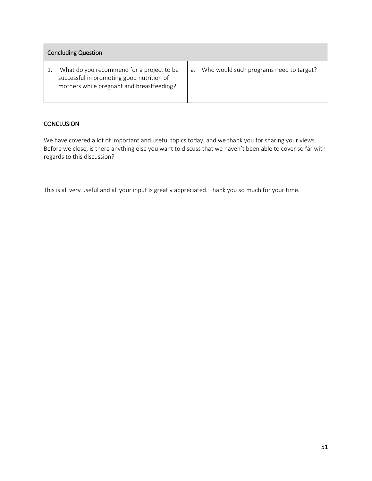| <b>Concluding Question</b>                                                                                                          |    |                                         |  |  |  |
|-------------------------------------------------------------------------------------------------------------------------------------|----|-----------------------------------------|--|--|--|
| What do you recommend for a project to be<br>successful in promoting good nutrition of<br>mothers while pregnant and breastfeeding? | a. | Who would such programs need to target? |  |  |  |

#### **CONCLUSION**

We have covered a lot of important and useful topics today, and we thank you for sharing your views. Before we close, is there anything else you want to discuss that we haven't been able to cover so far with regards to this discussion?

This is all very useful and all your input is greatly appreciated. Thank you so much for your time.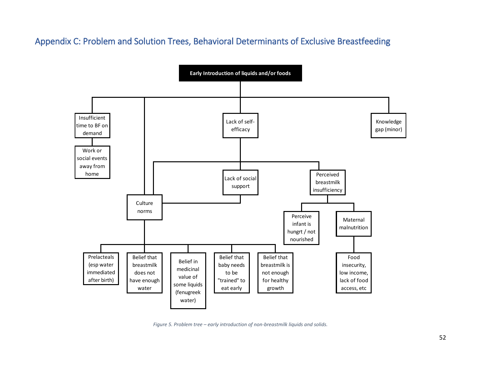### Appendix C: Problem and Solution Trees, Behavioral Determinants of Exclusive Breastfeeding



*Figure 5. Problem tree – early introduction of non-breastmilk liquids and solids.*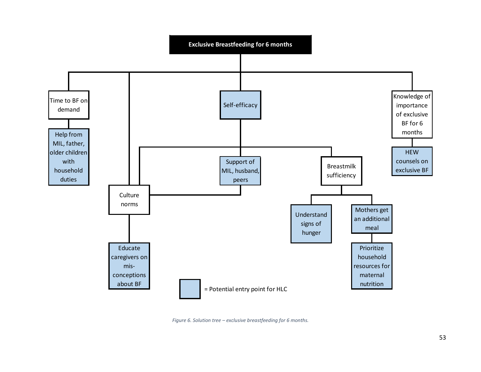

*Figure 6. Solution tree – exclusive breastfeeding for 6 months.*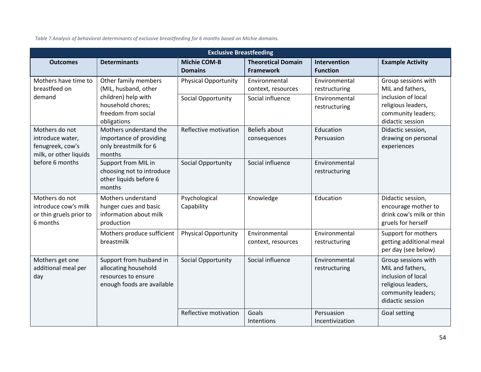*Table 7.Analysis of behavioral determinants of exclusive breastfeeding for 6 months based on Michie domains.*

| <b>Exclusive Breastfeeding</b>                                                   |                                                                                                                                |                                                   |                                                         |                                                                  |                                                                                                                               |  |
|----------------------------------------------------------------------------------|--------------------------------------------------------------------------------------------------------------------------------|---------------------------------------------------|---------------------------------------------------------|------------------------------------------------------------------|-------------------------------------------------------------------------------------------------------------------------------|--|
| <b>Outcomes</b>                                                                  | <b>Determinants</b>                                                                                                            | <b>Michie COM-B</b><br><b>Domains</b>             | <b>Theoretical Domain</b><br><b>Framework</b>           | <b>Intervention</b><br><b>Function</b>                           | <b>Example Activity</b>                                                                                                       |  |
| Mothers have time to<br>breastfeed on<br>demand                                  | Other family members<br>(MIL, husband, other<br>children) help with<br>household chores;<br>freedom from social<br>obligations | <b>Physical Opportunity</b><br>Social Opportunity | Environmental<br>context, resources<br>Social influence | Environmental<br>restructuring<br>Environmental<br>restructuring | Group sessions with<br>MIL and fathers,<br>inclusion of local<br>religious leaders,<br>community leaders;<br>didactic session |  |
| Mothers do not<br>introduce water,<br>fenugreek, cow's<br>milk, or other liquids | Mothers understand the<br>importance of providing<br>only breastmilk for 6<br>months                                           | Reflective motivation                             | <b>Beliefs about</b><br>consequences                    | Education<br>Persuasion                                          | Didactic session,<br>drawing on personal<br>experiences                                                                       |  |
| before 6 months                                                                  | Support from MIL in<br>choosing not to introduce<br>other liquids before 6<br>months                                           | Social Opportunity                                | Social influence                                        | Environmental<br>restructuring                                   |                                                                                                                               |  |
| Mothers do not<br>introduce cow's milk<br>or thin gruels prior to<br>6 months    | Mothers understand<br>hunger cues and basic<br>information about milk<br>production                                            | Psychological<br>Capability                       | Knowledge                                               | Education                                                        | Didactic session,<br>encourage mother to<br>drink cow's milk or thin<br>gruels for herself                                    |  |
|                                                                                  | Mothers produce sufficient<br>breastmilk                                                                                       | <b>Physical Opportunity</b>                       | Environmental<br>context, resources                     | Environmental<br>restructuring                                   | Support for mothers<br>getting additional meal<br>per day (see below)                                                         |  |
| Mothers get one<br>additional meal per<br>day                                    | Support from husband in<br>allocating household<br>resources to ensure<br>enough foods are available                           | Social Opportunity                                | Social influence                                        | Environmental<br>restructuring                                   | Group sessions with<br>MIL and fathers,<br>inclusion of local<br>religious leaders,<br>community leaders;<br>didactic session |  |
|                                                                                  |                                                                                                                                | Reflective motivation                             | Goals<br>Intentions                                     | Persuasion<br>Incentivization                                    | Goal setting                                                                                                                  |  |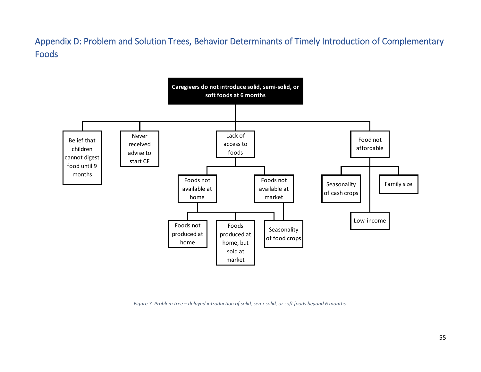Appendix D: Problem and Solution Trees, Behavior Determinants of Timely Introduction of Complementary Foods



*Figure 7. Problem tree – delayed introduction of solid, semi-solid, or soft foods beyond 6 months.*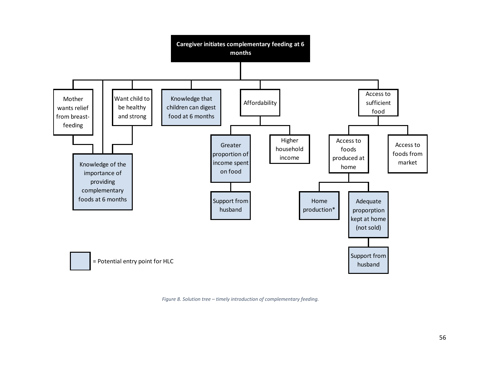

*Figure 8. Solution tree – timely introduction of complementary feeding.*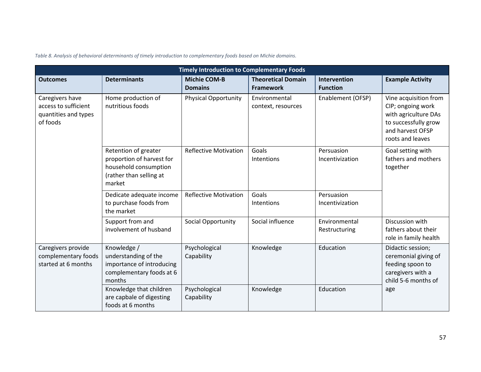*Table 8. Analysis of behavioral determinants of timely introduction to complementary foods based on Michie domains.*

| <b>Timely Introduction to Complementary Foods</b>                           |                                                                                                                 |                                       |                                               |                                 |                                                                                                                                    |  |
|-----------------------------------------------------------------------------|-----------------------------------------------------------------------------------------------------------------|---------------------------------------|-----------------------------------------------|---------------------------------|------------------------------------------------------------------------------------------------------------------------------------|--|
| <b>Outcomes</b>                                                             | <b>Determinants</b>                                                                                             | <b>Michie COM-B</b><br><b>Domains</b> | <b>Theoretical Domain</b><br><b>Framework</b> | Intervention<br><b>Function</b> | <b>Example Activity</b>                                                                                                            |  |
| Caregivers have<br>access to sufficient<br>quantities and types<br>of foods | Home production of<br>nutritious foods                                                                          | <b>Physical Opportunity</b>           | Environmental<br>context, resources           | Enablement (OFSP)               | Vine acquisition from<br>CIP; ongoing work<br>with agriculture DAs<br>to successfully grow<br>and harvest OFSP<br>roots and leaves |  |
|                                                                             | Retention of greater<br>proportion of harvest for<br>household consumption<br>(rather than selling at<br>market | <b>Reflective Motivation</b>          | Goals<br>Intentions                           | Persuasion<br>Incentivization   | Goal setting with<br>fathers and mothers<br>together                                                                               |  |
|                                                                             | Dedicate adequate income<br>to purchase foods from<br>the market                                                | <b>Reflective Motivation</b>          | Goals<br>Intentions                           | Persuasion<br>Incentivization   |                                                                                                                                    |  |
|                                                                             | Support from and<br>involvement of husband                                                                      | Social Opportunity                    | Social influence                              | Environmental<br>Restructuring  | Discussion with<br>fathers about their<br>role in family health                                                                    |  |
| Caregivers provide<br>complementary foods<br>started at 6 months            | Knowledge /<br>understanding of the<br>importance of introducing<br>complementary foods at 6<br>months          | Psychological<br>Capability           | Knowledge                                     | Education                       | Didactic session;<br>ceremonial giving of<br>feeding spoon to<br>caregivers with a<br>child 5-6 months of                          |  |
|                                                                             | Knowledge that children<br>are capbale of digesting<br>foods at 6 months                                        | Psychological<br>Capability           | Knowledge                                     | Education                       | age                                                                                                                                |  |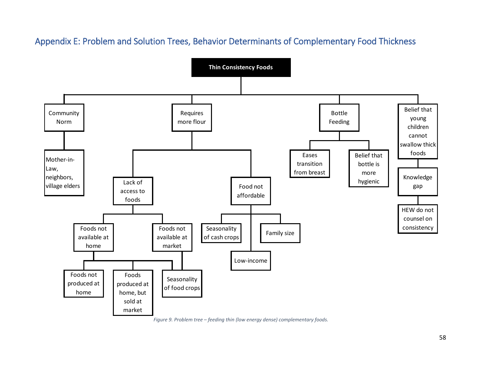### Appendix E: Problem and Solution Trees, Behavior Determinants of Complementary Food Thickness



*Figure 9. Problem tree – feeding thin (low energy dense) complementary foods.*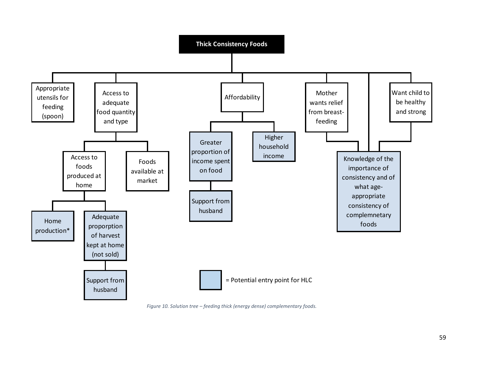

*Figure 10. Solution tree – feeding thick (energy dense) complementary foods.*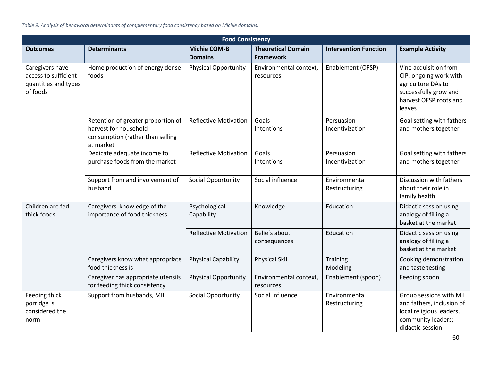*Table 9. Analysis of behavioral determinants of complementary food consistency based on Michie domains.*

|                                                                             | <b>Food Consistency</b>                                                                                      |                                       |                                               |                                |                                                                                                                                    |  |  |
|-----------------------------------------------------------------------------|--------------------------------------------------------------------------------------------------------------|---------------------------------------|-----------------------------------------------|--------------------------------|------------------------------------------------------------------------------------------------------------------------------------|--|--|
| <b>Outcomes</b>                                                             | <b>Determinants</b>                                                                                          | <b>Michie COM-B</b><br><b>Domains</b> | <b>Theoretical Domain</b><br><b>Framework</b> | <b>Intervention Function</b>   | <b>Example Activity</b>                                                                                                            |  |  |
| Caregivers have<br>access to sufficient<br>quantities and types<br>of foods | Home production of energy dense<br>foods                                                                     | <b>Physical Opportunity</b>           | Environmental context,<br>resources           | Enablement (OFSP)              | Vine acquisition from<br>CIP; ongoing work with<br>agriculture DAs to<br>successfully grow and<br>harvest OFSP roots and<br>leaves |  |  |
|                                                                             | Retention of greater proportion of<br>harvest for household<br>consumption (rather than selling<br>at market | <b>Reflective Motivation</b>          | Goals<br>Intentions                           | Persuasion<br>Incentivization  | Goal setting with fathers<br>and mothers together                                                                                  |  |  |
|                                                                             | Dedicate adequate income to<br>purchase foods from the market                                                | <b>Reflective Motivation</b>          | Goals<br>Intentions                           | Persuasion<br>Incentivization  | Goal setting with fathers<br>and mothers together                                                                                  |  |  |
|                                                                             | Support from and involvement of<br>husband                                                                   | Social Opportunity                    | Social influence                              | Environmental<br>Restructuring | Discussion with fathers<br>about their role in<br>family health                                                                    |  |  |
| Children are fed<br>thick foods                                             | Caregivers' knowledge of the<br>importance of food thickness                                                 | Psychological<br>Capability           | Knowledge                                     | Education                      | Didactic session using<br>analogy of filling a<br>basket at the market                                                             |  |  |
|                                                                             |                                                                                                              | <b>Reflective Motivation</b>          | <b>Beliefs about</b><br>consequences          | Education                      | Didactic session using<br>analogy of filling a<br>basket at the market                                                             |  |  |
|                                                                             | Caregivers know what appropriate<br>food thickness is                                                        | <b>Physical Capability</b>            | <b>Physical Skill</b>                         | <b>Training</b><br>Modeling    | Cooking demonstration<br>and taste testing                                                                                         |  |  |
|                                                                             | Caregiver has appropriate utensils<br>for feeding thick consistency                                          | <b>Physical Opportunity</b>           | Environmental context,<br>resources           | Enablement (spoon)             | Feeding spoon                                                                                                                      |  |  |
| Feeding thick<br>porridge is<br>considered the<br>norm                      | Support from husbands, MIL                                                                                   | Social Opportunity                    | Social Influence                              | Environmental<br>Restructuring | Group sessions with MIL<br>and fathers, inclusion of<br>local religious leaders,<br>community leaders;<br>didactic session         |  |  |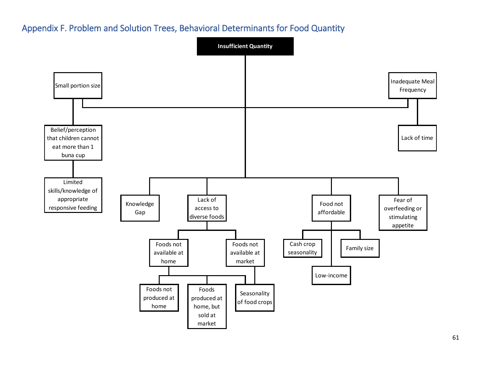### Appendix F. Problem and Solution Trees, Behavioral Determinants for Food Quantity

![](_page_63_Figure_1.jpeg)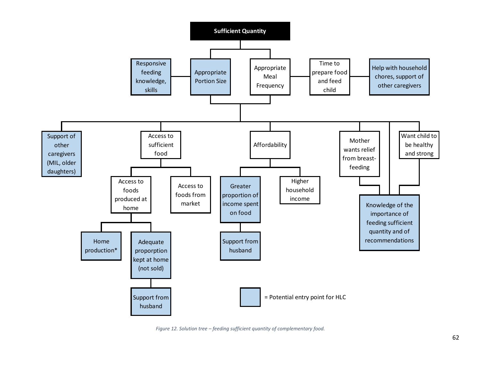![](_page_64_Figure_0.jpeg)

*Figure 12. Solution tree – feeding sufficient quantity of complementary food.*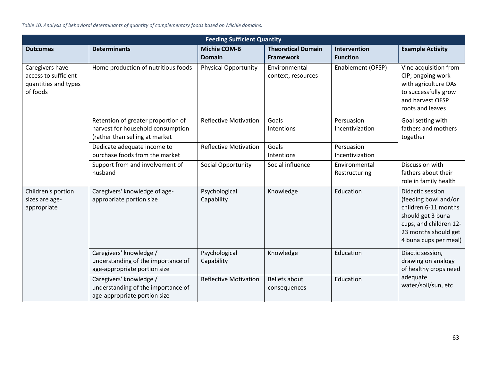*Table 10. Analysis of behavioral determinants of quantity of complementary foods based on Michie domains.*

| <b>Feeding Sufficient Quantity</b>                                          |                                                                                                           |                                      |                                               |                                        |                                                                                                                                                                  |
|-----------------------------------------------------------------------------|-----------------------------------------------------------------------------------------------------------|--------------------------------------|-----------------------------------------------|----------------------------------------|------------------------------------------------------------------------------------------------------------------------------------------------------------------|
| <b>Outcomes</b>                                                             | <b>Determinants</b>                                                                                       | <b>Michie COM-B</b><br><b>Domain</b> | <b>Theoretical Domain</b><br><b>Framework</b> | <b>Intervention</b><br><b>Function</b> | <b>Example Activity</b>                                                                                                                                          |
| Caregivers have<br>access to sufficient<br>quantities and types<br>of foods | Home production of nutritious foods                                                                       | <b>Physical Opportunity</b>          | Environmental<br>context, resources           | Enablement (OFSP)                      | Vine acquisition from<br>CIP; ongoing work<br>with agriculture DAs<br>to successfully grow<br>and harvest OFSP<br>roots and leaves                               |
|                                                                             | Retention of greater proportion of<br>harvest for household consumption<br>(rather than selling at market | <b>Reflective Motivation</b>         | Goals<br>Intentions                           | Persuasion<br>Incentivization          | Goal setting with<br>fathers and mothers<br>together                                                                                                             |
|                                                                             | Dedicate adequate income to<br>purchase foods from the market                                             | <b>Reflective Motivation</b>         | Goals<br>Intentions                           | Persuasion<br>Incentivization          |                                                                                                                                                                  |
|                                                                             | Support from and involvement of<br>husband                                                                | Social Opportunity                   | Social influence                              | Environmental<br>Restructuring         | Discussion with<br>fathers about their<br>role in family health                                                                                                  |
| Children's portion<br>sizes are age-<br>appropriate                         | Caregivers' knowledge of age-<br>appropriate portion size                                                 | Psychological<br>Capability          | Knowledge                                     | Education                              | Didactic session<br>(feeding bowl and/or<br>children 6-11 months<br>should get 3 buna<br>cups, and children 12-<br>23 months should get<br>4 buna cups per meal) |
|                                                                             | Caregivers' knowledge /<br>understanding of the importance of<br>age-appropriate portion size             | Psychological<br>Capability          | Knowledge                                     | Education                              | Diactic session,<br>drawing on analogy<br>of healthy crops need                                                                                                  |
|                                                                             | Caregivers' knowledge /<br>understanding of the importance of<br>age-appropriate portion size             | <b>Reflective Motivation</b>         | <b>Beliefs about</b><br>consequences          | Education                              | adequate<br>water/soil/sun, etc                                                                                                                                  |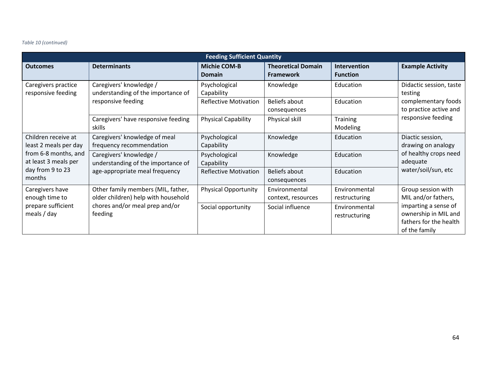#### *Table 10 (continued)*

| <b>Feeding Sufficient Quantity</b>                                                                                         |                                                                                                                        |                               |                                               |                                 |                                                                                                                                      |
|----------------------------------------------------------------------------------------------------------------------------|------------------------------------------------------------------------------------------------------------------------|-------------------------------|-----------------------------------------------|---------------------------------|--------------------------------------------------------------------------------------------------------------------------------------|
| <b>Outcomes</b>                                                                                                            | <b>Determinants</b>                                                                                                    | <b>Michie COM-B</b><br>Domain | <b>Theoretical Domain</b><br><b>Framework</b> | Intervention<br><b>Function</b> | <b>Example Activity</b>                                                                                                              |
| Caregivers practice<br>responsive feeding                                                                                  | Caregivers' knowledge /<br>understanding of the importance of<br>responsive feeding                                    | Psychological<br>Capability   | Knowledge                                     | Education                       | Didactic session, taste<br>testing<br>complementary foods<br>to practice active and<br>responsive feeding                            |
|                                                                                                                            |                                                                                                                        | <b>Reflective Motivation</b>  | Beliefs about<br>consequences                 | Education                       |                                                                                                                                      |
|                                                                                                                            | Caregivers' have responsive feeding<br>skills                                                                          | <b>Physical Capability</b>    | Physical skill                                | <b>Training</b><br>Modeling     |                                                                                                                                      |
| Children receive at<br>least 2 meals per day<br>from 6-8 months, and<br>at least 3 meals per<br>day from 9 to 23<br>months | Caregivers' knowledge of meal<br>frequency recommendation                                                              | Psychological<br>Capability   | Knowledge                                     | Education                       | Diactic session,<br>drawing on analogy<br>of healthy crops need<br>adequate<br>water/soil/sun, etc                                   |
|                                                                                                                            | Caregivers' knowledge /<br>understanding of the importance of<br>age-appropriate meal frequency                        | Psychological<br>Capability   | Knowledge                                     | Education                       |                                                                                                                                      |
|                                                                                                                            |                                                                                                                        | <b>Reflective Motivation</b>  | Beliefs about<br>consequences                 | Education                       |                                                                                                                                      |
| Caregivers have<br>enough time to<br>prepare sufficient<br>meals $/$ day                                                   | Other family members (MIL, father,<br>older children) help with household<br>chores and/or meal prep and/or<br>feeding | <b>Physical Opportunity</b>   | Environmental<br>context, resources           | Environmental<br>restructuring  | Group session with<br>MIL and/or fathers,<br>imparting a sense of<br>ownership in MIL and<br>fathers for the health<br>of the family |
|                                                                                                                            |                                                                                                                        | Social opportunity            | Social influence                              | Environmental<br>restructuring  |                                                                                                                                      |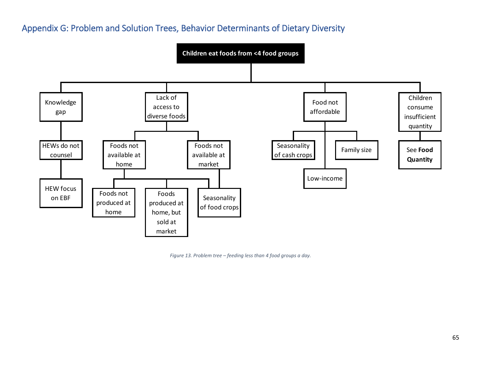### Appendix G: Problem and Solution Trees, Behavior Determinants of Dietary Diversity

![](_page_67_Figure_1.jpeg)

*Figure 13. Problem tree – feeding less than 4 food groups a day.*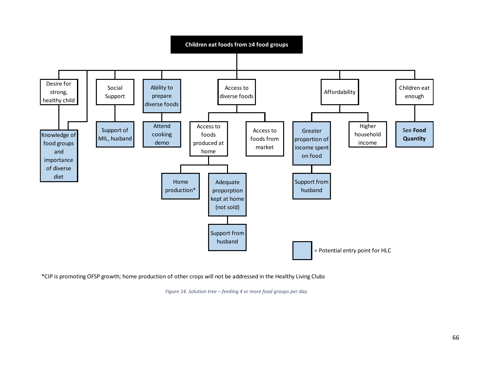![](_page_68_Figure_0.jpeg)

\*CIP is promoting OFSP growth; home production of other crops will not be addressed in the Healthy Living Clubs

*Figure 14. Solution tree – feeding 4 or more food groups per day.*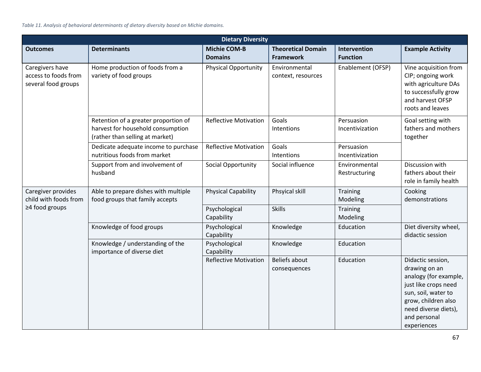| <b>Dietary Diversity</b>                                       |                                                                                                              |                                       |                                               |                                 |                                                                                                                                                                                          |
|----------------------------------------------------------------|--------------------------------------------------------------------------------------------------------------|---------------------------------------|-----------------------------------------------|---------------------------------|------------------------------------------------------------------------------------------------------------------------------------------------------------------------------------------|
| <b>Outcomes</b>                                                | <b>Determinants</b>                                                                                          | <b>Michie COM-B</b><br><b>Domains</b> | <b>Theoretical Domain</b><br><b>Framework</b> | Intervention<br><b>Function</b> | <b>Example Activity</b>                                                                                                                                                                  |
| Caregivers have<br>access to foods from<br>several food groups | Home production of foods from a<br>variety of food groups                                                    | <b>Physical Opportunity</b>           | Environmental<br>context, resources           | Enablement (OFSP)               | Vine acquisition from<br>CIP; ongoing work<br>with agriculture DAs<br>to successfully grow<br>and harvest OFSP<br>roots and leaves                                                       |
|                                                                | Retention of a greater proportion of<br>harvest for household consumption<br>(rather than selling at market) | <b>Reflective Motivation</b>          | Goals<br>Intentions                           | Persuasion<br>Incentivization   | Goal setting with<br>fathers and mothers<br>together                                                                                                                                     |
|                                                                | Dedicate adequate income to purchase<br>nutritious foods from market                                         | <b>Reflective Motivation</b>          | Goals<br>Intentions                           | Persuasion<br>Incentivization   |                                                                                                                                                                                          |
|                                                                | Support from and involvement of<br>husband                                                                   | Social Opportunity                    | Social influence                              | Environmental<br>Restructuring  | Discussion with<br>fathers about their<br>role in family health                                                                                                                          |
| Caregiver provides<br>child with foods from<br>≥4 food groups  | Able to prepare dishes with multiple<br>food groups that family accepts                                      | <b>Physical Capability</b>            | Phsyical skill                                | Training<br>Modeling            | Cooking<br>demonstrations                                                                                                                                                                |
|                                                                |                                                                                                              | Psychological<br>Capability           | <b>Skills</b>                                 | <b>Training</b><br>Modeling     |                                                                                                                                                                                          |
|                                                                | Knowledge of food groups                                                                                     | Psychological<br>Capability           | Knowledge                                     | Education                       | Diet diversity wheel,<br>didactic session                                                                                                                                                |
|                                                                | Knowledge / understanding of the<br>importance of diverse diet                                               | Psychological<br>Capability           | Knowledge                                     | Education                       |                                                                                                                                                                                          |
|                                                                |                                                                                                              | <b>Reflective Motivation</b>          | Beliefs about<br>consequences                 | Education                       | Didactic session,<br>drawing on an<br>analogy (for example,<br>just like crops need<br>sun, soil, water to<br>grow, children also<br>need diverse diets),<br>and personal<br>experiences |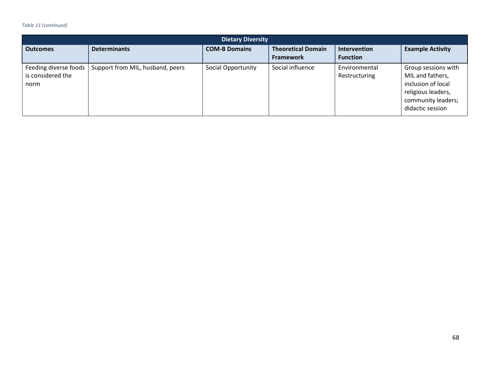#### *Table 11 (continued)*

| <b>Dietary Diversity</b>                           |                                  |                      |                                               |                                 |                                                                                                                               |
|----------------------------------------------------|----------------------------------|----------------------|-----------------------------------------------|---------------------------------|-------------------------------------------------------------------------------------------------------------------------------|
| <b>Outcomes</b>                                    | <b>Determinants</b>              | <b>COM-B Domains</b> | <b>Theoretical Domain</b><br><b>Framework</b> | Intervention<br><b>Function</b> | <b>Example Activity</b>                                                                                                       |
| Feeding diverse foods<br>is considered the<br>norm | Support from MIL, husband, peers | Social Opportunity   | Social influence                              | Environmental<br>Restructuring  | Group sessions with<br>MIL and fathers,<br>inclusion of local<br>religious leaders,<br>community leaders;<br>didactic session |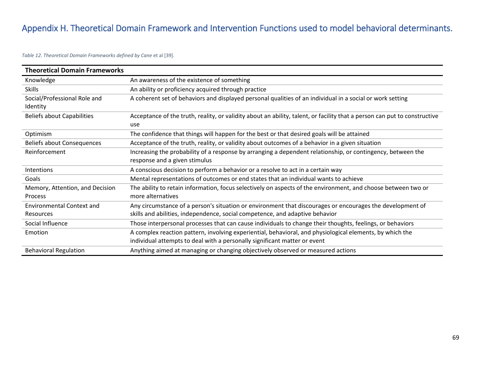## Appendix H. Theoretical Domain Framework and Intervention Functions used to model behavioral determinants.

*Table 12. Theoretical Domain Frameworks defined by Cane* et al [39].

| <b>Theoretical Domain Frameworks</b> |                                                                                                                           |
|--------------------------------------|---------------------------------------------------------------------------------------------------------------------------|
| Knowledge                            | An awareness of the existence of something                                                                                |
| <b>Skills</b>                        | An ability or proficiency acquired through practice                                                                       |
| Social/Professional Role and         | A coherent set of behaviors and displayed personal qualities of an individual in a social or work setting                 |
| Identity                             |                                                                                                                           |
| <b>Beliefs about Capabilities</b>    | Acceptance of the truth, reality, or validity about an ability, talent, or facility that a person can put to constructive |
|                                      | use                                                                                                                       |
| Optimism                             | The confidence that things will happen for the best or that desired goals will be attained                                |
| <b>Beliefs about Consequences</b>    | Acceptance of the truth, reality, or validity about outcomes of a behavior in a given situation                           |
| Reinforcement                        | Increasing the probability of a response by arranging a dependent relationship, or contingency, between the               |
|                                      | response and a given stimulus                                                                                             |
| Intentions                           | A conscious decision to perform a behavior or a resolve to act in a certain way                                           |
| Goals                                | Mental representations of outcomes or end states that an individual wants to achieve                                      |
| Memory, Attention, and Decision      | The ability to retain information, focus selectively on aspects of the environment, and choose between two or             |
| Process                              | more alternatives                                                                                                         |
| <b>Environmental Context and</b>     | Any circumstance of a person's situation or environment that discourages or encourages the development of                 |
| Resources                            | skills and abilities, independence, social competence, and adaptive behavior                                              |
| Social Influence                     | Those interpersonal processes that can cause individuals to change their thoughts, feelings, or behaviors                 |
| Emotion                              | A complex reaction pattern, involving experiential, behavioral, and physiological elements, by which the                  |
|                                      | individual attempts to deal with a personally significant matter or event                                                 |
| <b>Behavioral Regulation</b>         | Anything aimed at managing or changing objectively observed or measured actions                                           |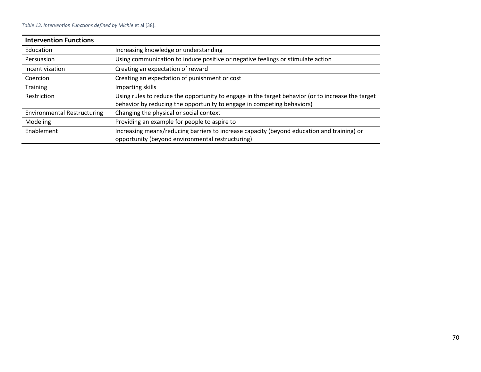## *Table 13. Intervention Functions defined by Michie* et al [38].

| <b>Intervention Functions</b>      |                                                                                                                                                                             |
|------------------------------------|-----------------------------------------------------------------------------------------------------------------------------------------------------------------------------|
| Education                          | Increasing knowledge or understanding                                                                                                                                       |
| Persuasion                         | Using communication to induce positive or negative feelings or stimulate action                                                                                             |
| Incentivization                    | Creating an expectation of reward                                                                                                                                           |
| Coercion                           | Creating an expectation of punishment or cost                                                                                                                               |
| <b>Training</b>                    | Imparting skills                                                                                                                                                            |
| Restriction                        | Using rules to reduce the opportunity to engage in the target behavior (or to increase the target<br>behavior by reducing the opportunity to engage in competing behaviors) |
| <b>Environmental Restructuring</b> | Changing the physical or social context                                                                                                                                     |
| Modeling                           | Providing an example for people to aspire to                                                                                                                                |
| Enablement                         | Increasing means/reducing barriers to increase capacity (beyond education and training) or<br>opportunity (beyond environmental restructuring)                              |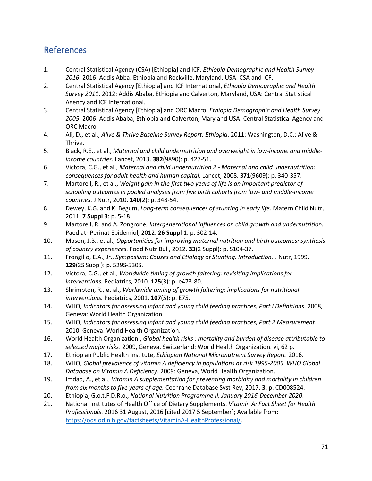## References

- 1. Central Statistical Agency (CSA) [Ethiopia] and ICF, *Ethiopia Demographic and Health Survey 2016*. 2016: Addis Abba, Ethiopia and Rockville, Maryland, USA: CSA and ICF.
- 2. Central Statistical Agency [Ethiopia] and ICF International, *Ethiopia Demographic and Health Survey 2011*. 2012: Addis Ababa, Ethiopia and Calverton, Maryland, USA: Central Statistical Agency and ICF International.
- 3. Central Statistical Agency [Ethiopia] and ORC Macro, *Ethiopia Demographic and Health Survey 2005*. 2006: Addis Ababa, Ethiopia and Calverton, Maryland USA: Central Statistical Agency and ORC Macro.
- 4. Ali, D., et al., *Alive & Thrive Baseline Survey Report: Ethiopia*. 2011: Washington, D.C.: Alive & Thrive.
- 5. Black, R.E., et al., *Maternal and child undernutrition and overweight in low-income and middleincome countries.* Lancet, 2013. **382**(9890): p. 427-51.
- 6. Victora, C.G., et al., *Maternal and child undernutrition 2 - Maternal and child undernutrition: consequences for adult health and human capital.* Lancet, 2008. **371**(9609): p. 340-357.
- 7. Martorell, R., et al., *Weight gain in the first two years of life is an important predictor of schooling outcomes in pooled analyses from five birth cohorts from low- and middle-income countries.* J Nutr, 2010. **140**(2): p. 348-54.
- 8. Dewey, K.G. and K. Begum, *Long-term consequences of stunting in early life.* Matern Child Nutr, 2011. **7 Suppl 3**: p. 5-18.
- 9. Martorell, R. and A. Zongrone, *Intergenerational influences on child growth and undernutrition.* Paediatr Perinat Epidemiol, 2012. **26 Suppl 1**: p. 302-14.
- 10. Mason, J.B., et al., *Opportunities for improving maternal nutrition and birth outcomes: synthesis of country experiences.* Food Nutr Bull, 2012. **33**(2 Suppl): p. S104-37.
- 11. Frongillo, E.A., Jr., *Symposium: Causes and Etiology of Stunting. Introduction.* J Nutr, 1999. **129**(2S Suppl): p. 529S-530S.
- 12. Victora, C.G., et al., *Worldwide timing of growth faltering: revisiting implications for interventions.* Pediatrics, 2010. **125**(3): p. e473-80.
- 13. Shrimpton, R., et al., *Worldwide timing of growth faltering: implications for nutritional interventions.* Pediatrics, 2001. **107**(5): p. E75.
- 14. WHO, *Indicators for assessing infant and young child feeding practices, Part I Definitions*. 2008, Geneva: World Health Organization.
- 15. WHO, *Indicators for assessing infant and young child feeding practices, Part 2 Measurement*. 2010, Geneva: World Health Organization.
- 16. World Health Organization., *Global health risks : mortality and burden of disease attributable to selected major risks*. 2009, Geneva, Switzerland: World Health Organization. vi, 62 p.
- 17. Ethiopian Public Health Institute, *Ethiopian National Micronutrient Survey Report*. 2016.
- 18. WHO, *Global prevalence of vitamin A deficiency in populations at risk 1995-2005. WHO Global Database on Vitamin A Deficiency*. 2009: Geneva, World Health Organization.
- 19. Imdad, A., et al., *Vitamin A supplementation for preventing morbidity and mortality in children from six months to five years of age.* Cochrane Database Syst Rev, 2017. **3**: p. CD008524.
- 20. Ethiopia, G.o.t.F.D.R.o., *National Nutrition Programme II, January 2016-December 2020*.
- 21. National Institutes of Health Office of Dietary Supplements. *Vitamin A: Fact Sheet for Health Professionals*. 2016 31 August, 2016 [cited 2017 5 September]; Available from: [https://ods.od.nih.gov/factsheets/VitaminA-HealthProfessional/.](https://ods.od.nih.gov/factsheets/VitaminA-HealthProfessional/)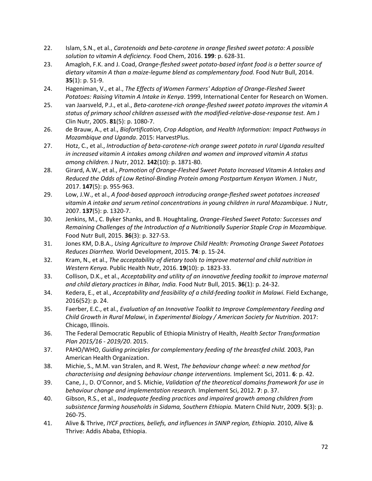- 22. Islam, S.N., et al., *Carotenoids and beta-carotene in orange fleshed sweet potato: A possible solution to vitamin A deficiency.* Food Chem, 2016. **199**: p. 628-31.
- 23. Amagloh, F.K. and J. Coad, *Orange-fleshed sweet potato-based infant food is a better source of dietary vitamin A than a maize-legume blend as complementary food.* Food Nutr Bull, 2014. **35**(1): p. 51-9.
- 24. Hageniman, V., et al., *The Effects of Women Farmers' Adoption of Orange-Fleshed Sweet Potatoes: Raising Vitamin A Intake in Kenya*. 1999, International Center for Research on Women.
- 25. van Jaarsveld, P.J., et al., *Beta-carotene-rich orange-fleshed sweet potato improves the vitamin A status of primary school children assessed with the modified-relative-dose-response test.* Am J Clin Nutr, 2005. **81**(5): p. 1080-7.
- 26. de Brauw, A., et al., *Biofortification, Crop Adoption, and Health Information: Impact Pathways in Mozambique and Uganda*. 2015: HarvestPlus.
- 27. Hotz, C., et al., *Introduction of beta-carotene-rich orange sweet potato in rural Uganda resulted in increased vitamin A intakes among children and women and improved vitamin A status among children.* J Nutr, 2012. **142**(10): p. 1871-80.
- 28. Girard, A.W., et al., *Promotion of Orange-Fleshed Sweet Potato Increased Vitamin A Intakes and Reduced the Odds of Low Retinol-Binding Protein among Postpartum Kenyan Women.* J Nutr, 2017. **147**(5): p. 955-963.
- 29. Low, J.W., et al., *A food-based approach introducing orange-fleshed sweet potatoes increased vitamin A intake and serum retinol concentrations in young children in rural Mozambique.* J Nutr, 2007. **137**(5): p. 1320-7.
- 30. Jenkins, M., C. Byker Shanks, and B. Houghtaling, *Orange-Fleshed Sweet Potato: Successes and Remaining Challenges of the Introduction of a Nutritionally Superior Staple Crop in Mozambique.* Food Nutr Bull, 2015. **36**(3): p. 327-53.
- 31. Jones KM, D.B.A., *Using Agriculture to Improve Child Health: Promoting Orange Sweet Potatoes Reduces Diarrhea.* World Development, 2015. **74**: p. 15-24.
- 32. Kram, N., et al., *The acceptability of dietary tools to improve maternal and child nutrition in Western Kenya.* Public Health Nutr, 2016. **19**(10): p. 1823-33.
- 33. Collison, D.K., et al., *Acceptability and utility of an innovative feeding toolkit to improve maternal and child dietary practices in Bihar, India.* Food Nutr Bull, 2015. **36**(1): p. 24-32.
- 34. Kedera, E., et al., *Acceptability and feasibility of a child-feeding toolkit in Malawi.* Field Exchange, 2016(52): p. 24.
- 35. Faerber, E.C., et al., *Evaluation of an Innovative Toolkit to Improve Complementary Feeding and Child Growth in Rural Malawi*, in *Experimental Biology / American Society for Nutrition*. 2017: Chicago, Illinois.
- 36. The Federal Democratic Republic of Ethiopia Ministry of Health, *Health Sector Transformation Plan 2015/16 - 2019/20*. 2015.
- 37. PAHO/WHO, *Guiding principles for complementary feeding of the breastfed child.* 2003, Pan American Health Organization.
- 38. Michie, S., M.M. van Stralen, and R. West, *The behaviour change wheel: a new method for characterising and designing behaviour change interventions.* Implement Sci, 2011. **6**: p. 42.
- 39. Cane, J., D. O'Connor, and S. Michie, *Validation of the theoretical domains framework for use in behaviour change and implementation research.* Implement Sci, 2012. **7**: p. 37.
- 40. Gibson, R.S., et al., *Inadequate feeding practices and impaired growth among children from subsistence farming households in Sidama, Southern Ethiopia.* Matern Child Nutr, 2009. **5**(3): p. 260-75.
- 41. Alive & Thrive, *IYCF practices, beliefs, and influences in SNNP region, Ethiopia.* 2010, Alive & Thrive: Addis Ababa, Ethiopia.